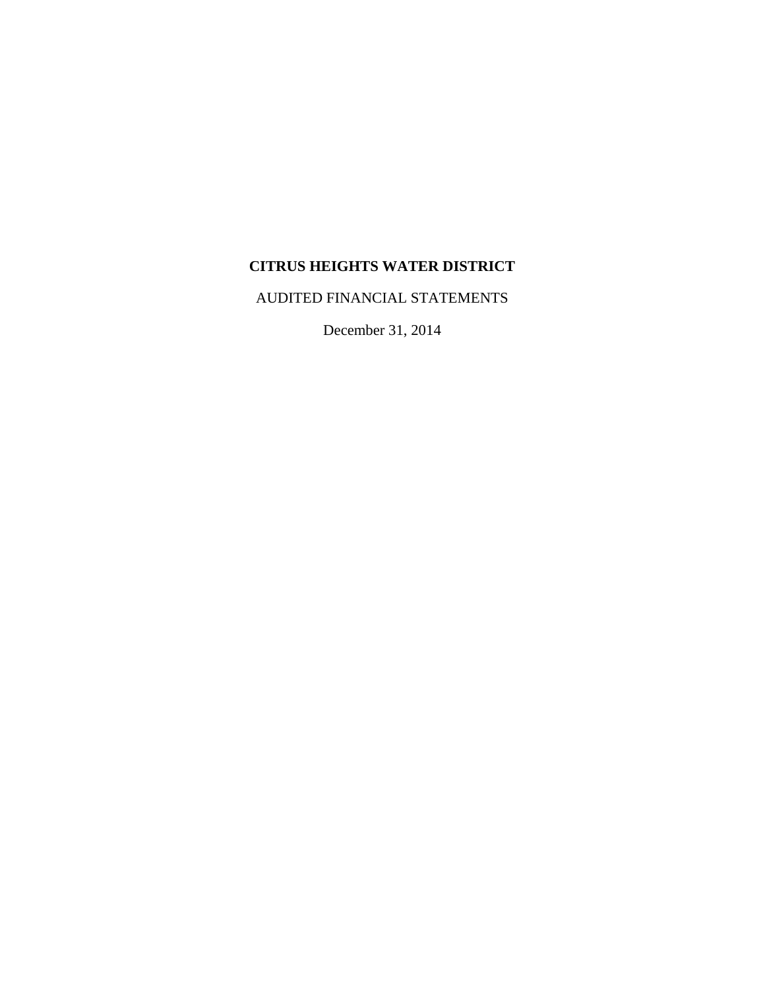AUDITED FINANCIAL STATEMENTS

December 31, 2014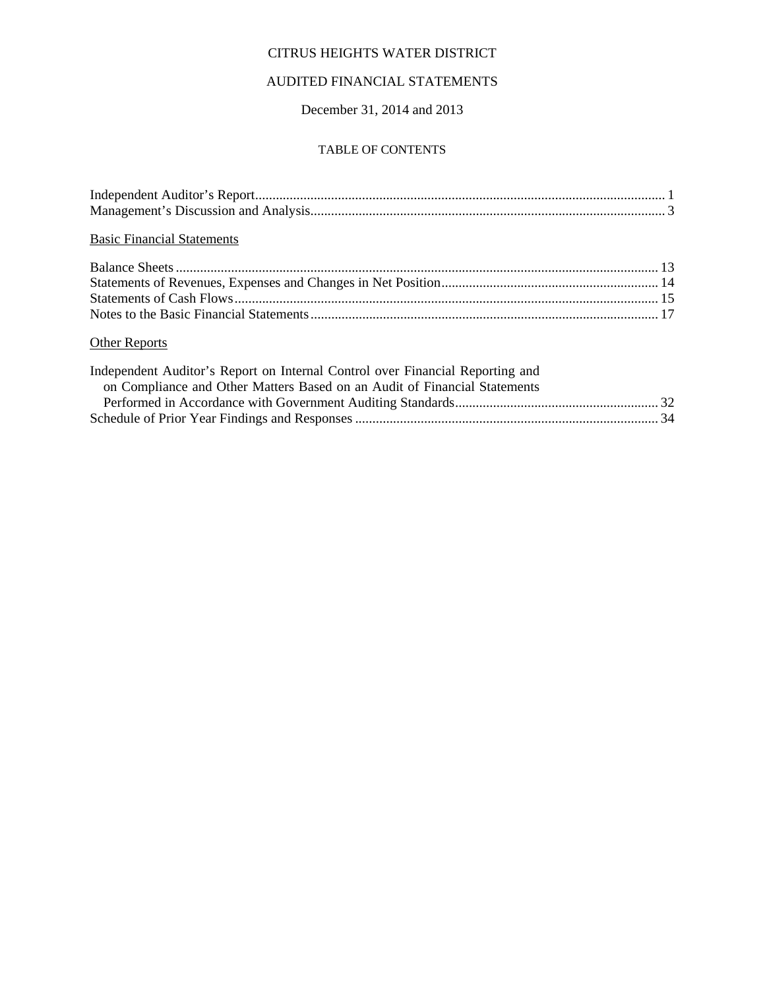# AUDITED FINANCIAL STATEMENTS

December 31, 2014 and 2013

#### TABLE OF CONTENTS

| <b>Basic Financial Statements</b>                                             |  |
|-------------------------------------------------------------------------------|--|
|                                                                               |  |
|                                                                               |  |
|                                                                               |  |
|                                                                               |  |
| <b>Other Reports</b>                                                          |  |
| Independent Auditor's Report on Internal Control over Financial Reporting and |  |
| on Compliance and Other Matters Based on an Audit of Financial Statements     |  |
|                                                                               |  |
|                                                                               |  |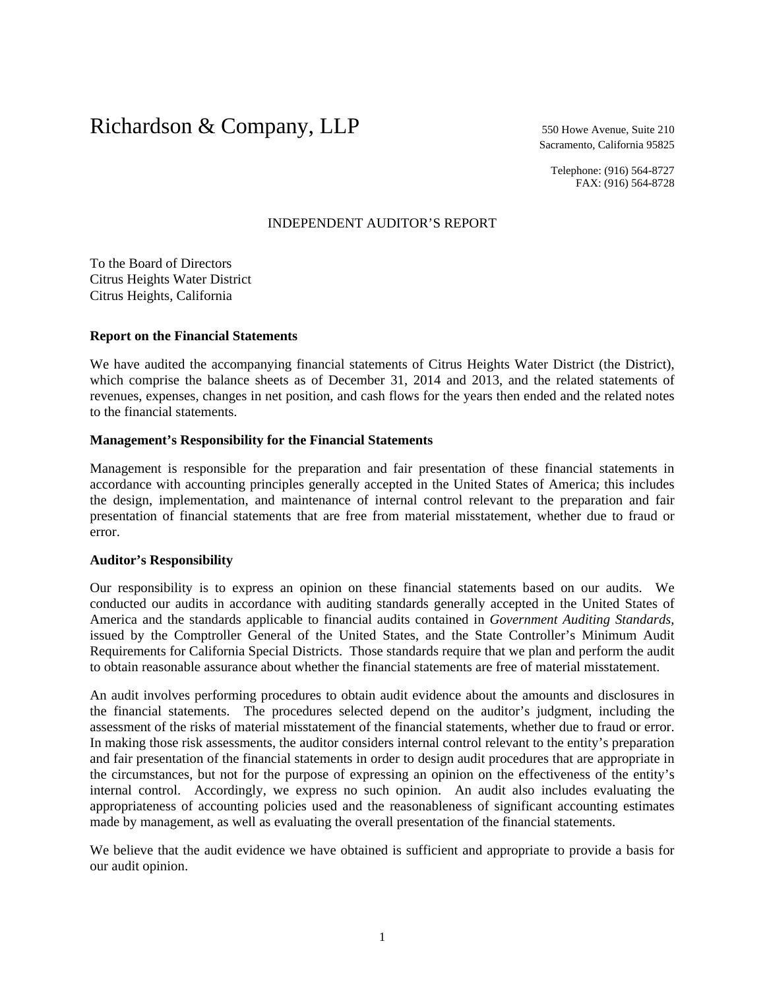# Richardson & Company, LLP 550 Howe Avenue, Suite 210

Sacramento, California 95825

Telephone: (916) 564-8727 FAX: (916) 564-8728

## INDEPENDENT AUDITOR'S REPORT

To the Board of Directors Citrus Heights Water District Citrus Heights, California

#### **Report on the Financial Statements**

We have audited the accompanying financial statements of Citrus Heights Water District (the District), which comprise the balance sheets as of December 31, 2014 and 2013, and the related statements of revenues, expenses, changes in net position, and cash flows for the years then ended and the related notes to the financial statements.

## **Management's Responsibility for the Financial Statements**

Management is responsible for the preparation and fair presentation of these financial statements in accordance with accounting principles generally accepted in the United States of America; this includes the design, implementation, and maintenance of internal control relevant to the preparation and fair presentation of financial statements that are free from material misstatement, whether due to fraud or error.

#### **Auditor's Responsibility**

Our responsibility is to express an opinion on these financial statements based on our audits. We conducted our audits in accordance with auditing standards generally accepted in the United States of America and the standards applicable to financial audits contained in *Government Auditing Standards*, issued by the Comptroller General of the United States, and the State Controller's Minimum Audit Requirements for California Special Districts. Those standards require that we plan and perform the audit to obtain reasonable assurance about whether the financial statements are free of material misstatement.

An audit involves performing procedures to obtain audit evidence about the amounts and disclosures in the financial statements. The procedures selected depend on the auditor's judgment, including the assessment of the risks of material misstatement of the financial statements, whether due to fraud or error. In making those risk assessments, the auditor considers internal control relevant to the entity's preparation and fair presentation of the financial statements in order to design audit procedures that are appropriate in the circumstances, but not for the purpose of expressing an opinion on the effectiveness of the entity's internal control. Accordingly, we express no such opinion. An audit also includes evaluating the appropriateness of accounting policies used and the reasonableness of significant accounting estimates made by management, as well as evaluating the overall presentation of the financial statements.

We believe that the audit evidence we have obtained is sufficient and appropriate to provide a basis for our audit opinion.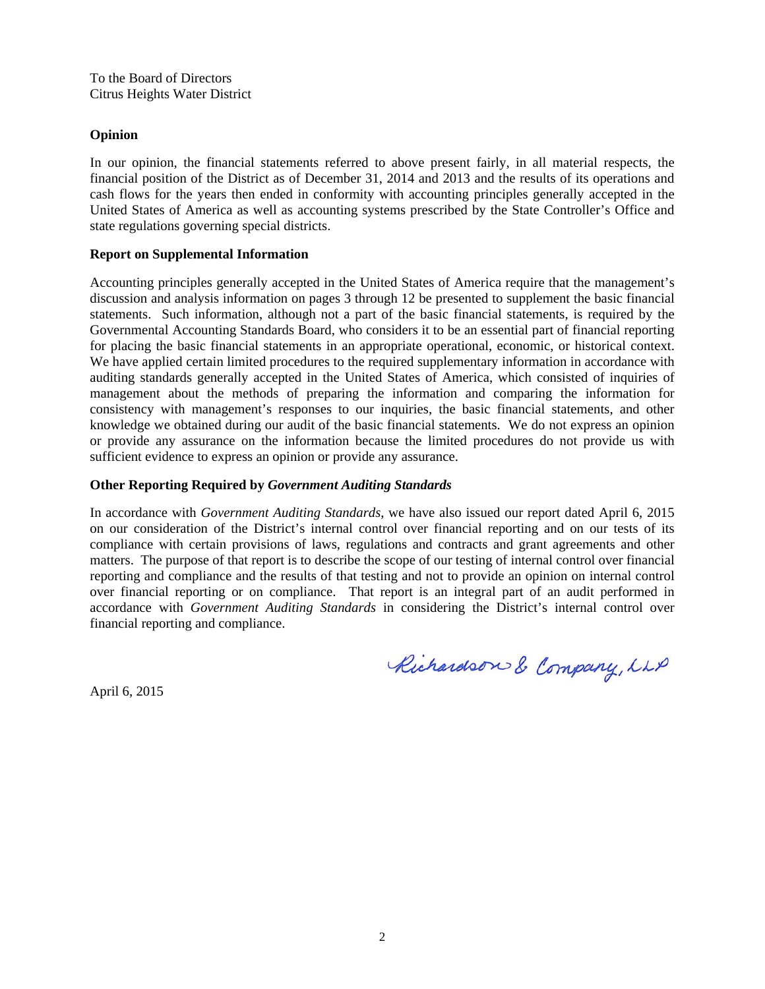#### **Opinion**

In our opinion, the financial statements referred to above present fairly, in all material respects, the financial position of the District as of December 31, 2014 and 2013 and the results of its operations and cash flows for the years then ended in conformity with accounting principles generally accepted in the United States of America as well as accounting systems prescribed by the State Controller's Office and state regulations governing special districts.

## **Report on Supplemental Information**

Accounting principles generally accepted in the United States of America require that the management's discussion and analysis information on pages 3 through 12 be presented to supplement the basic financial statements. Such information, although not a part of the basic financial statements, is required by the Governmental Accounting Standards Board, who considers it to be an essential part of financial reporting for placing the basic financial statements in an appropriate operational, economic, or historical context. We have applied certain limited procedures to the required supplementary information in accordance with auditing standards generally accepted in the United States of America, which consisted of inquiries of management about the methods of preparing the information and comparing the information for consistency with management's responses to our inquiries, the basic financial statements, and other knowledge we obtained during our audit of the basic financial statements. We do not express an opinion or provide any assurance on the information because the limited procedures do not provide us with sufficient evidence to express an opinion or provide any assurance.

## **Other Reporting Required by** *Government Auditing Standards*

In accordance with *Government Auditing Standards*, we have also issued our report dated April 6, 2015 on our consideration of the District's internal control over financial reporting and on our tests of its compliance with certain provisions of laws, regulations and contracts and grant agreements and other matters. The purpose of that report is to describe the scope of our testing of internal control over financial reporting and compliance and the results of that testing and not to provide an opinion on internal control over financial reporting or on compliance. That report is an integral part of an audit performed in accordance with *Government Auditing Standards* in considering the District's internal control over financial reporting and compliance.

Richardson & Company, LLP

April 6, 2015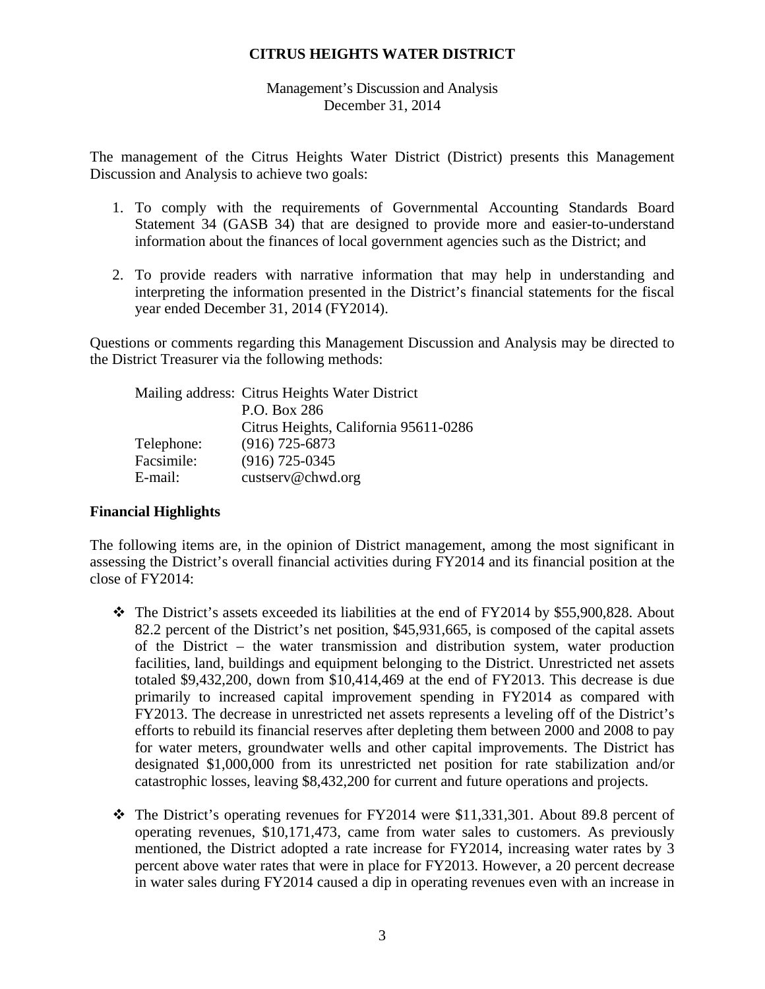# Management's Discussion and Analysis December 31, 2014

The management of the Citrus Heights Water District (District) presents this Management Discussion and Analysis to achieve two goals:

- 1. To comply with the requirements of Governmental Accounting Standards Board Statement 34 (GASB 34) that are designed to provide more and easier-to-understand information about the finances of local government agencies such as the District; and
- 2. To provide readers with narrative information that may help in understanding and interpreting the information presented in the District's financial statements for the fiscal year ended December 31, 2014 (FY2014).

Questions or comments regarding this Management Discussion and Analysis may be directed to the District Treasurer via the following methods:

|            | Mailing address: Citrus Heights Water District |
|------------|------------------------------------------------|
|            | P.O. Box 286                                   |
|            | Citrus Heights, California 95611-0286          |
| Telephone: | $(916)$ 725-6873                               |
| Facsimile: | $(916)$ 725-0345                               |
| E-mail:    | custserv@chwd.org                              |

# **Financial Highlights**

The following items are, in the opinion of District management, among the most significant in assessing the District's overall financial activities during FY2014 and its financial position at the close of FY2014:

- $\div$  The District's assets exceeded its liabilities at the end of FY2014 by \$55,900,828. About 82.2 percent of the District's net position, \$45,931,665, is composed of the capital assets of the District – the water transmission and distribution system, water production facilities, land, buildings and equipment belonging to the District. Unrestricted net assets totaled \$9,432,200, down from \$10,414,469 at the end of FY2013. This decrease is due primarily to increased capital improvement spending in FY2014 as compared with FY2013. The decrease in unrestricted net assets represents a leveling off of the District's efforts to rebuild its financial reserves after depleting them between 2000 and 2008 to pay for water meters, groundwater wells and other capital improvements. The District has designated \$1,000,000 from its unrestricted net position for rate stabilization and/or catastrophic losses, leaving \$8,432,200 for current and future operations and projects.
- $\cdot \cdot$  The District's operating revenues for FY2014 were \$11,331,301. About 89.8 percent of operating revenues, \$10,171,473, came from water sales to customers. As previously mentioned, the District adopted a rate increase for FY2014, increasing water rates by 3 percent above water rates that were in place for FY2013. However, a 20 percent decrease in water sales during FY2014 caused a dip in operating revenues even with an increase in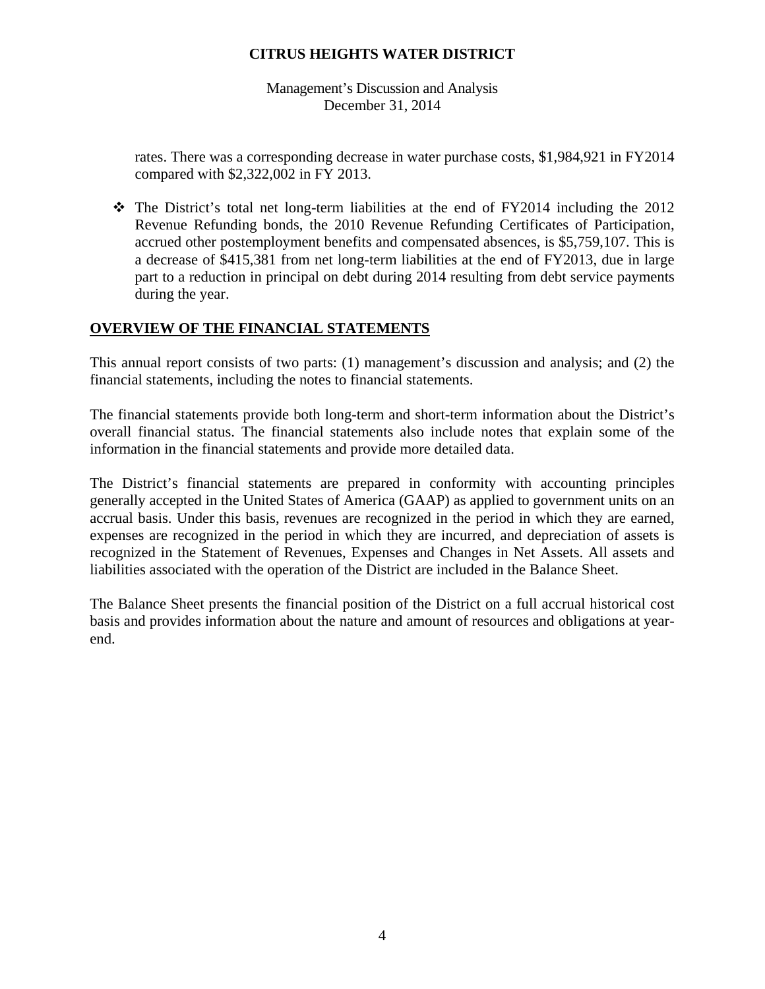Management's Discussion and Analysis December 31, 2014

rates. There was a corresponding decrease in water purchase costs, \$1,984,921 in FY2014 compared with \$2,322,002 in FY 2013.

 $\div$  The District's total net long-term liabilities at the end of FY2014 including the 2012 Revenue Refunding bonds, the 2010 Revenue Refunding Certificates of Participation, accrued other postemployment benefits and compensated absences, is \$5,759,107. This is a decrease of \$415,381 from net long-term liabilities at the end of FY2013, due in large part to a reduction in principal on debt during 2014 resulting from debt service payments during the year.

# **OVERVIEW OF THE FINANCIAL STATEMENTS**

This annual report consists of two parts: (1) management's discussion and analysis; and (2) the financial statements, including the notes to financial statements.

The financial statements provide both long-term and short-term information about the District's overall financial status. The financial statements also include notes that explain some of the information in the financial statements and provide more detailed data.

The District's financial statements are prepared in conformity with accounting principles generally accepted in the United States of America (GAAP) as applied to government units on an accrual basis. Under this basis, revenues are recognized in the period in which they are earned, expenses are recognized in the period in which they are incurred, and depreciation of assets is recognized in the Statement of Revenues, Expenses and Changes in Net Assets. All assets and liabilities associated with the operation of the District are included in the Balance Sheet.

The Balance Sheet presents the financial position of the District on a full accrual historical cost basis and provides information about the nature and amount of resources and obligations at yearend.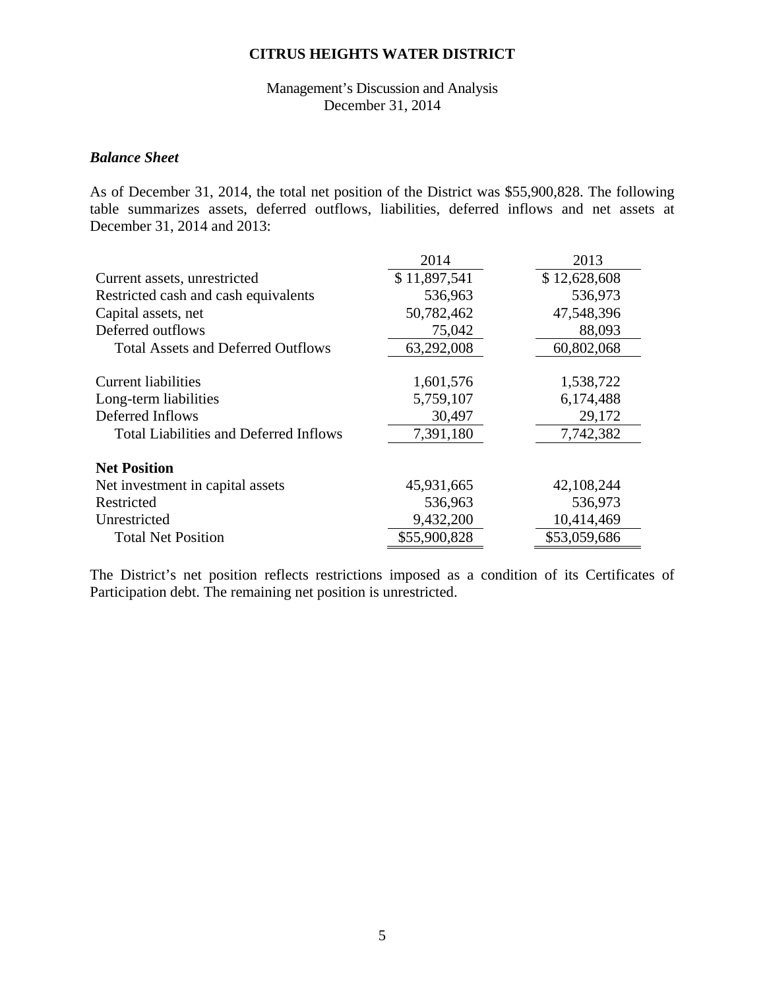# Management's Discussion and Analysis December 31, 2014

# *Balance Sheet*

As of December 31, 2014, the total net position of the District was \$55,900,828. The following table summarizes assets, deferred outflows, liabilities, deferred inflows and net assets at December 31, 2014 and 2013:

|                                               | 2014         | 2013         |
|-----------------------------------------------|--------------|--------------|
| Current assets, unrestricted                  | \$11,897,541 | \$12,628,608 |
| Restricted cash and cash equivalents          | 536,963      | 536,973      |
| Capital assets, net                           | 50,782,462   | 47,548,396   |
| Deferred outflows                             | 75,042       | 88,093       |
| <b>Total Assets and Deferred Outflows</b>     | 63,292,008   | 60,802,068   |
|                                               |              |              |
| Current liabilities                           | 1,601,576    | 1,538,722    |
| Long-term liabilities                         | 5,759,107    | 6,174,488    |
| Deferred Inflows                              | 30,497       | 29,172       |
| <b>Total Liabilities and Deferred Inflows</b> | 7,391,180    | 7,742,382    |
|                                               |              |              |
| <b>Net Position</b>                           |              |              |
| Net investment in capital assets              | 45,931,665   | 42,108,244   |
| Restricted                                    | 536,963      | 536,973      |
| Unrestricted                                  | 9,432,200    | 10,414,469   |
| <b>Total Net Position</b>                     | \$55,900,828 | \$53,059,686 |

The District's net position reflects restrictions imposed as a condition of its Certificates of Participation debt. The remaining net position is unrestricted.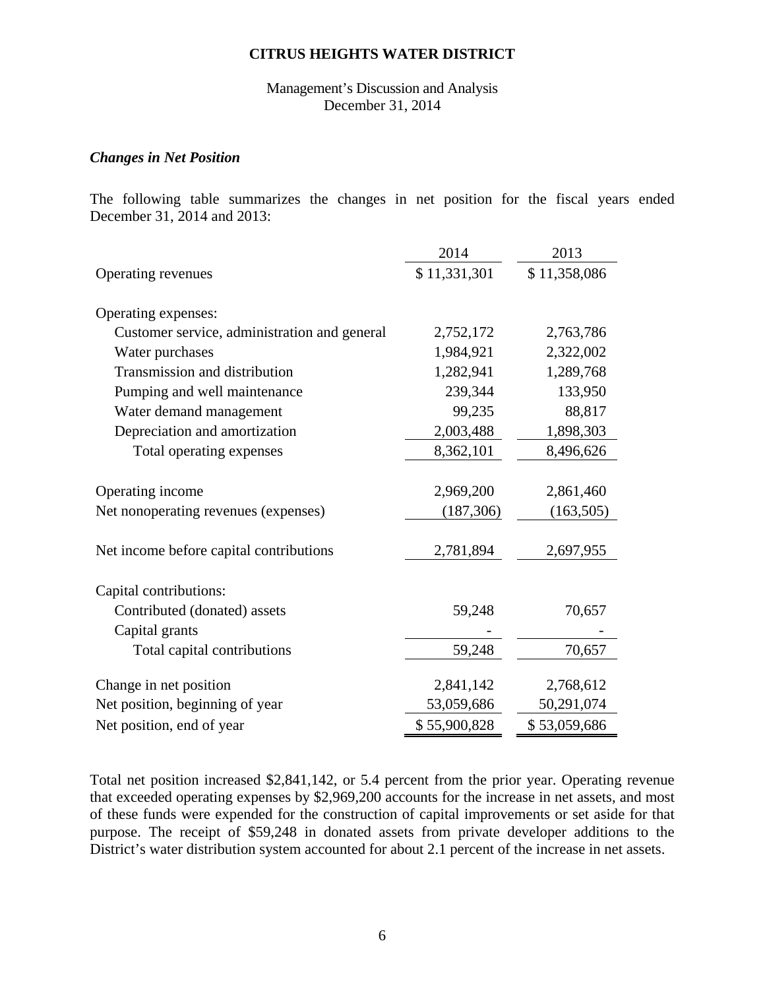Management's Discussion and Analysis December 31, 2014

## *Changes in Net Position*

The following table summarizes the changes in net position for the fiscal years ended December 31, 2014 and 2013:

|                                              | 2014         | 2013         |
|----------------------------------------------|--------------|--------------|
| Operating revenues                           | \$11,331,301 | \$11,358,086 |
| Operating expenses:                          |              |              |
| Customer service, administration and general | 2,752,172    | 2,763,786    |
| Water purchases                              | 1,984,921    | 2,322,002    |
| Transmission and distribution                | 1,282,941    | 1,289,768    |
| Pumping and well maintenance                 | 239,344      | 133,950      |
| Water demand management                      | 99,235       | 88,817       |
| Depreciation and amortization                | 2,003,488    | 1,898,303    |
| Total operating expenses                     | 8,362,101    | 8,496,626    |
|                                              |              |              |
| Operating income                             | 2,969,200    | 2,861,460    |
| Net nonoperating revenues (expenses)         | (187, 306)   | (163, 505)   |
|                                              |              |              |
| Net income before capital contributions      | 2,781,894    | 2,697,955    |
| Capital contributions:                       |              |              |
| Contributed (donated) assets                 | 59,248       | 70,657       |
| Capital grants                               |              |              |
| Total capital contributions                  | 59,248       | 70,657       |
| Change in net position                       | 2,841,142    | 2,768,612    |
| Net position, beginning of year              | 53,059,686   | 50,291,074   |
| Net position, end of year                    | \$55,900,828 | \$53,059,686 |
|                                              |              |              |

Total net position increased \$2,841,142, or 5.4 percent from the prior year. Operating revenue that exceeded operating expenses by \$2,969,200 accounts for the increase in net assets, and most of these funds were expended for the construction of capital improvements or set aside for that purpose. The receipt of \$59,248 in donated assets from private developer additions to the District's water distribution system accounted for about 2.1 percent of the increase in net assets.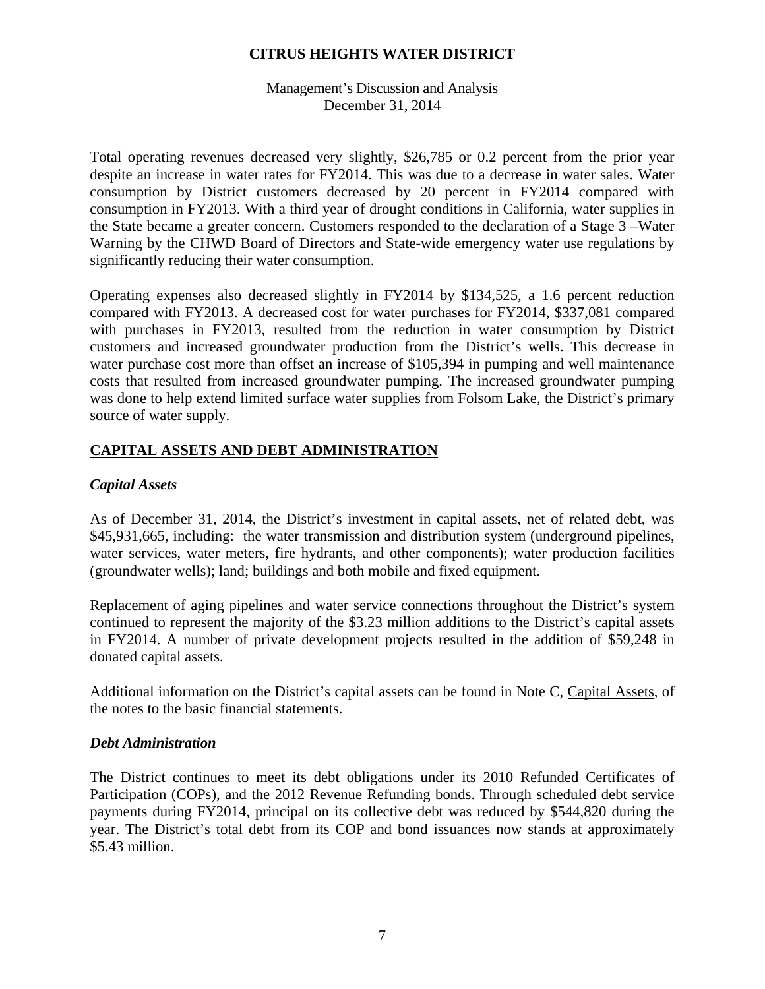Management's Discussion and Analysis December 31, 2014

Total operating revenues decreased very slightly, \$26,785 or 0.2 percent from the prior year despite an increase in water rates for FY2014. This was due to a decrease in water sales. Water consumption by District customers decreased by 20 percent in FY2014 compared with consumption in FY2013. With a third year of drought conditions in California, water supplies in the State became a greater concern. Customers responded to the declaration of a Stage 3 –Water Warning by the CHWD Board of Directors and State-wide emergency water use regulations by significantly reducing their water consumption.

Operating expenses also decreased slightly in FY2014 by \$134,525, a 1.6 percent reduction compared with FY2013. A decreased cost for water purchases for FY2014, \$337,081 compared with purchases in FY2013, resulted from the reduction in water consumption by District customers and increased groundwater production from the District's wells. This decrease in water purchase cost more than offset an increase of \$105,394 in pumping and well maintenance costs that resulted from increased groundwater pumping. The increased groundwater pumping was done to help extend limited surface water supplies from Folsom Lake, the District's primary source of water supply.

# **CAPITAL ASSETS AND DEBT ADMINISTRATION**

# *Capital Assets*

As of December 31, 2014, the District's investment in capital assets, net of related debt, was \$45,931,665, including: the water transmission and distribution system (underground pipelines, water services, water meters, fire hydrants, and other components); water production facilities (groundwater wells); land; buildings and both mobile and fixed equipment.

Replacement of aging pipelines and water service connections throughout the District's system continued to represent the majority of the \$3.23 million additions to the District's capital assets in FY2014. A number of private development projects resulted in the addition of \$59,248 in donated capital assets.

Additional information on the District's capital assets can be found in Note C, Capital Assets, of the notes to the basic financial statements.

# *Debt Administration*

The District continues to meet its debt obligations under its 2010 Refunded Certificates of Participation (COPs), and the 2012 Revenue Refunding bonds. Through scheduled debt service payments during FY2014, principal on its collective debt was reduced by \$544,820 during the year. The District's total debt from its COP and bond issuances now stands at approximately \$5.43 million.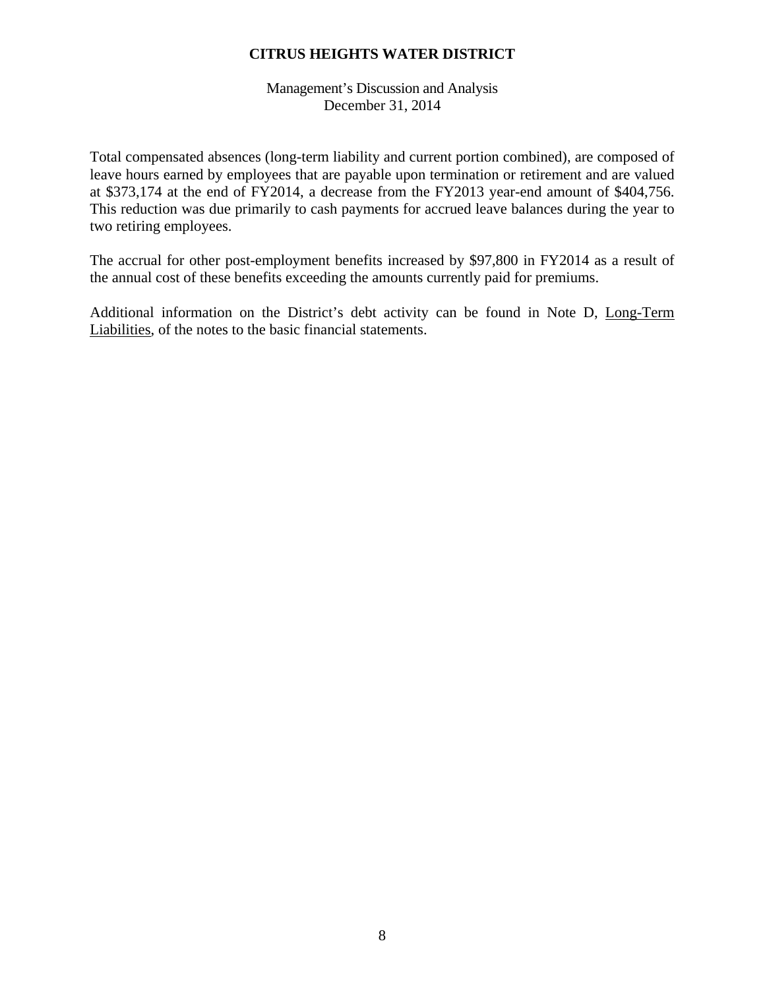Management's Discussion and Analysis December 31, 2014

Total compensated absences (long-term liability and current portion combined), are composed of leave hours earned by employees that are payable upon termination or retirement and are valued at \$373,174 at the end of FY2014, a decrease from the FY2013 year-end amount of \$404,756. This reduction was due primarily to cash payments for accrued leave balances during the year to two retiring employees.

The accrual for other post-employment benefits increased by \$97,800 in FY2014 as a result of the annual cost of these benefits exceeding the amounts currently paid for premiums.

Additional information on the District's debt activity can be found in Note D, Long-Term Liabilities, of the notes to the basic financial statements.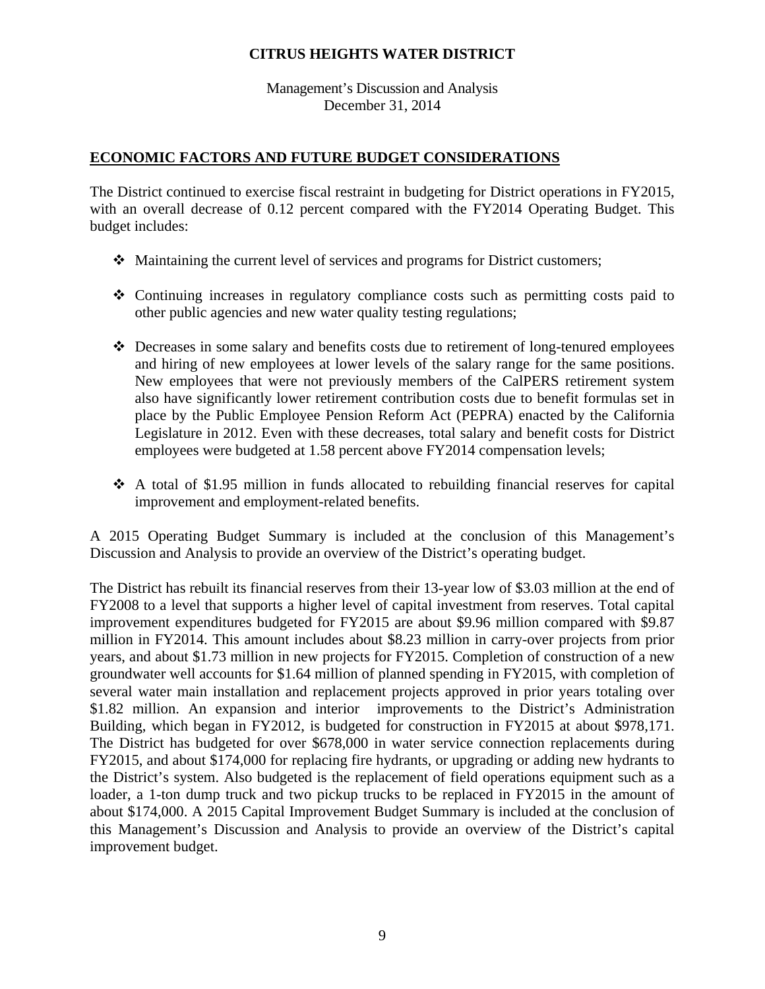Management's Discussion and Analysis December 31, 2014

# **ECONOMIC FACTORS AND FUTURE BUDGET CONSIDERATIONS**

The District continued to exercise fiscal restraint in budgeting for District operations in FY2015, with an overall decrease of 0.12 percent compared with the FY2014 Operating Budget. This budget includes:

- Maintaining the current level of services and programs for District customers;
- Continuing increases in regulatory compliance costs such as permitting costs paid to other public agencies and new water quality testing regulations;
- Decreases in some salary and benefits costs due to retirement of long-tenured employees and hiring of new employees at lower levels of the salary range for the same positions. New employees that were not previously members of the CalPERS retirement system also have significantly lower retirement contribution costs due to benefit formulas set in place by the Public Employee Pension Reform Act (PEPRA) enacted by the California Legislature in 2012. Even with these decreases, total salary and benefit costs for District employees were budgeted at 1.58 percent above FY2014 compensation levels;
- $\div$  A total of \$1.95 million in funds allocated to rebuilding financial reserves for capital improvement and employment-related benefits.

A 2015 Operating Budget Summary is included at the conclusion of this Management's Discussion and Analysis to provide an overview of the District's operating budget.

The District has rebuilt its financial reserves from their 13-year low of \$3.03 million at the end of FY2008 to a level that supports a higher level of capital investment from reserves. Total capital improvement expenditures budgeted for FY2015 are about \$9.96 million compared with \$9.87 million in FY2014. This amount includes about \$8.23 million in carry-over projects from prior years, and about \$1.73 million in new projects for FY2015. Completion of construction of a new groundwater well accounts for \$1.64 million of planned spending in FY2015, with completion of several water main installation and replacement projects approved in prior years totaling over \$1.82 million. An expansion and interior improvements to the District's Administration Building, which began in FY2012, is budgeted for construction in FY2015 at about \$978,171. The District has budgeted for over \$678,000 in water service connection replacements during FY2015, and about \$174,000 for replacing fire hydrants, or upgrading or adding new hydrants to the District's system. Also budgeted is the replacement of field operations equipment such as a loader, a 1-ton dump truck and two pickup trucks to be replaced in FY2015 in the amount of about \$174,000. A 2015 Capital Improvement Budget Summary is included at the conclusion of this Management's Discussion and Analysis to provide an overview of the District's capital improvement budget.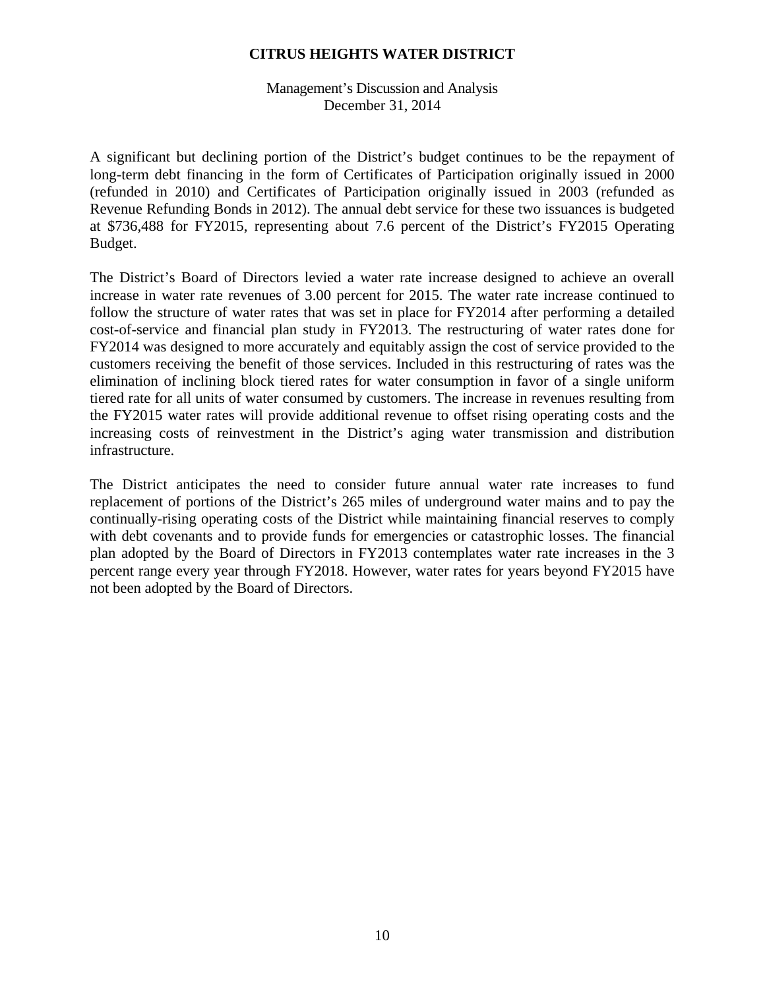Management's Discussion and Analysis December 31, 2014

A significant but declining portion of the District's budget continues to be the repayment of long-term debt financing in the form of Certificates of Participation originally issued in 2000 (refunded in 2010) and Certificates of Participation originally issued in 2003 (refunded as Revenue Refunding Bonds in 2012). The annual debt service for these two issuances is budgeted at \$736,488 for FY2015, representing about 7.6 percent of the District's FY2015 Operating Budget.

The District's Board of Directors levied a water rate increase designed to achieve an overall increase in water rate revenues of 3.00 percent for 2015. The water rate increase continued to follow the structure of water rates that was set in place for FY2014 after performing a detailed cost-of-service and financial plan study in FY2013. The restructuring of water rates done for FY2014 was designed to more accurately and equitably assign the cost of service provided to the customers receiving the benefit of those services. Included in this restructuring of rates was the elimination of inclining block tiered rates for water consumption in favor of a single uniform tiered rate for all units of water consumed by customers. The increase in revenues resulting from the FY2015 water rates will provide additional revenue to offset rising operating costs and the increasing costs of reinvestment in the District's aging water transmission and distribution infrastructure.

The District anticipates the need to consider future annual water rate increases to fund replacement of portions of the District's 265 miles of underground water mains and to pay the continually-rising operating costs of the District while maintaining financial reserves to comply with debt covenants and to provide funds for emergencies or catastrophic losses. The financial plan adopted by the Board of Directors in FY2013 contemplates water rate increases in the 3 percent range every year through FY2018. However, water rates for years beyond FY2015 have not been adopted by the Board of Directors.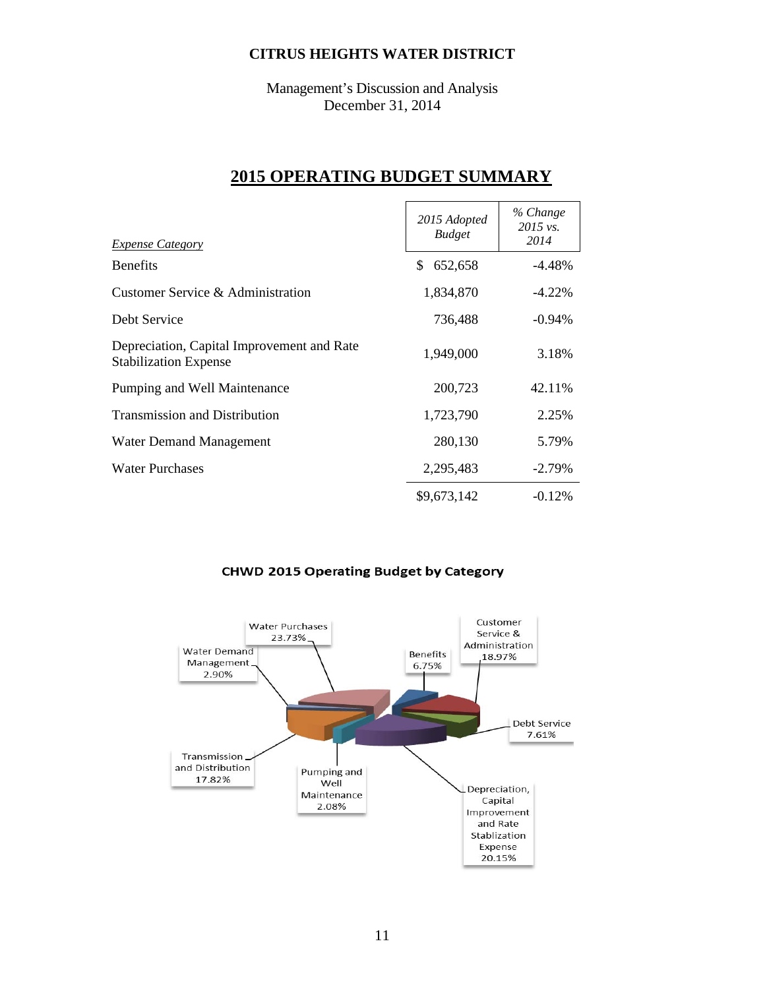Management's Discussion and Analysis December 31, 2014

# **2015 OPERATING BUDGET SUMMARY**

| <b>Expense Category</b>                                                    | 2015 Adopted<br><b>Budget</b> | % Change<br>2015 vs.<br>2014 |
|----------------------------------------------------------------------------|-------------------------------|------------------------------|
| <b>Benefits</b>                                                            | \$<br>652,658                 | $-4.48%$                     |
| Customer Service & Administration                                          | 1,834,870                     | $-4.22%$                     |
| Debt Service                                                               | 736,488                       | $-0.94\%$                    |
| Depreciation, Capital Improvement and Rate<br><b>Stabilization Expense</b> | 1,949,000                     | 3.18%                        |
| Pumping and Well Maintenance                                               | 200,723                       | 42.11%                       |
| <b>Transmission and Distribution</b>                                       | 1,723,790                     | 2.25%                        |
| <b>Water Demand Management</b>                                             | 280,130                       | 5.79%                        |
| <b>Water Purchases</b>                                                     | 2,295,483                     | $-2.79%$                     |
|                                                                            | \$9,673,142                   | $-0.12%$                     |

# **CHWD 2015 Operating Budget by Category**

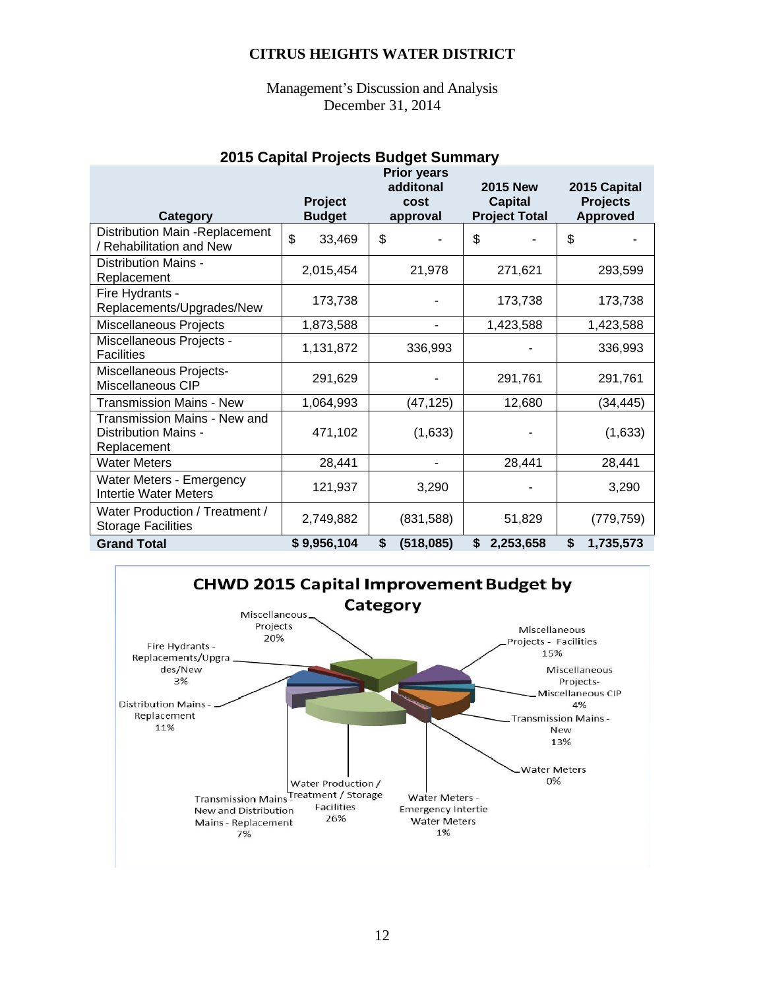Management's Discussion and Analysis December 31, 2014

# **2015 Capital Projects Budget Summary**

|                                                                            |                                 | <b>Prior years</b><br>additonal<br>cost | <b>2015 New</b>                        | 2015 Capital<br><b>Projects</b> |
|----------------------------------------------------------------------------|---------------------------------|-----------------------------------------|----------------------------------------|---------------------------------|
| Category                                                                   | <b>Project</b><br><b>Budget</b> | approval                                | <b>Capital</b><br><b>Project Total</b> | <b>Approved</b>                 |
| Distribution Main -Replacement<br>/ Rehabilitation and New                 | \$<br>33,469                    | \$                                      | \$                                     | \$                              |
| Distribution Mains -<br>Replacement                                        | 2,015,454                       | 21,978                                  | 271,621                                | 293,599                         |
| Fire Hydrants -<br>Replacements/Upgrades/New                               | 173,738                         |                                         | 173,738                                | 173,738                         |
| Miscellaneous Projects                                                     | 1,873,588                       |                                         | 1,423,588                              | 1,423,588                       |
| Miscellaneous Projects -<br><b>Facilities</b>                              | 1,131,872                       | 336,993                                 |                                        | 336,993                         |
| Miscellaneous Projects-<br>Miscellaneous CIP                               | 291,629                         |                                         | 291,761                                | 291,761                         |
| <b>Transmission Mains - New</b>                                            | 1,064,993                       | (47,125)                                | 12,680                                 | (34,445)                        |
| <b>Transmission Mains - New and</b><br>Distribution Mains -<br>Replacement | 471,102                         | (1,633)                                 |                                        | (1,633)                         |
| <b>Water Meters</b>                                                        | 28,441                          |                                         | 28,441                                 | 28,441                          |
| Water Meters - Emergency<br>Intertie Water Meters                          | 121,937                         | 3,290                                   |                                        | 3,290                           |
| Water Production / Treatment /<br><b>Storage Facilities</b>                | 2,749,882                       | (831,588)                               | 51,829                                 | (779, 759)                      |
| <b>Grand Total</b>                                                         | \$9,956,104                     | \$<br>(518,085)                         | \$<br>2,253,658                        | \$<br>1,735,573                 |

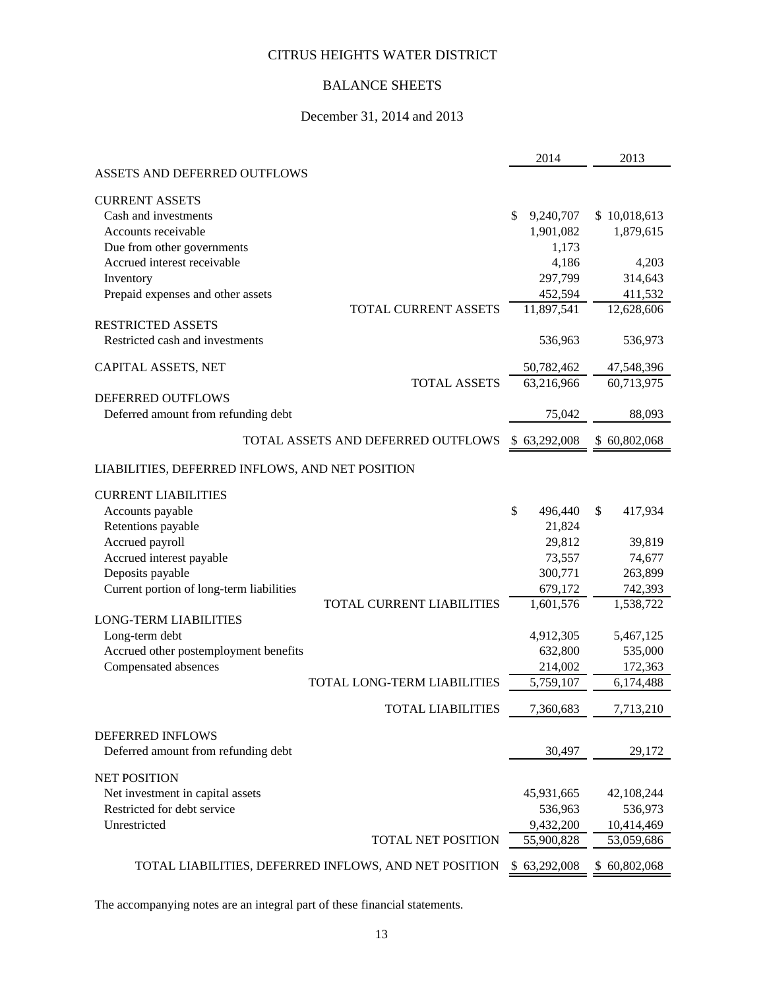# BALANCE SHEETS

# December 31, 2014 and 2013

|                                                 |                                                       | 2014            | 2013          |
|-------------------------------------------------|-------------------------------------------------------|-----------------|---------------|
| ASSETS AND DEFERRED OUTFLOWS                    |                                                       |                 |               |
| <b>CURRENT ASSETS</b>                           |                                                       |                 |               |
| Cash and investments                            |                                                       | \$<br>9,240,707 | \$10,018,613  |
| Accounts receivable                             |                                                       | 1,901,082       | 1,879,615     |
| Due from other governments                      |                                                       | 1,173           |               |
| Accrued interest receivable                     |                                                       | 4,186           | 4,203         |
| Inventory                                       |                                                       | 297,799         | 314,643       |
| Prepaid expenses and other assets               |                                                       | 452,594         | 411,532       |
|                                                 | TOTAL CURRENT ASSETS                                  | 11,897,541      | 12,628,606    |
| <b>RESTRICTED ASSETS</b>                        |                                                       |                 |               |
| Restricted cash and investments                 |                                                       | 536,963         | 536,973       |
| CAPITAL ASSETS, NET                             |                                                       | 50,782,462      | 47,548,396    |
|                                                 | <b>TOTAL ASSETS</b>                                   | 63,216,966      | 60,713,975    |
| DEFERRED OUTFLOWS                               |                                                       |                 |               |
| Deferred amount from refunding debt             |                                                       | 75,042          | 88,093        |
|                                                 | TOTAL ASSETS AND DEFERRED OUTFLOWS                    | \$63,292,008    | \$60,802,068  |
| LIABILITIES, DEFERRED INFLOWS, AND NET POSITION |                                                       |                 |               |
| <b>CURRENT LIABILITIES</b>                      |                                                       |                 |               |
| Accounts payable                                |                                                       | \$<br>496,440   | \$<br>417,934 |
| Retentions payable                              |                                                       | 21,824          |               |
| Accrued payroll                                 |                                                       | 29,812          | 39,819        |
| Accrued interest payable                        |                                                       | 73,557          | 74,677        |
| Deposits payable                                |                                                       | 300,771         | 263,899       |
| Current portion of long-term liabilities        |                                                       | 679,172         | 742,393       |
|                                                 | TOTAL CURRENT LIABILITIES                             | 1,601,576       | 1,538,722     |
| <b>LONG-TERM LIABILITIES</b>                    |                                                       |                 |               |
| Long-term debt                                  |                                                       | 4,912,305       | 5,467,125     |
| Accrued other postemployment benefits           |                                                       | 632,800         | 535,000       |
| Compensated absences                            |                                                       | 214,002         | 172,363       |
|                                                 | TOTAL LONG-TERM LIABILITIES                           | 5,759,107       | 6,174,488     |
|                                                 | <b>TOTAL LIABILITIES</b>                              | 7,360,683       | 7,713,210     |
| DEFERRED INFLOWS                                |                                                       |                 |               |
| Deferred amount from refunding debt             |                                                       | 30,497          | 29,172        |
| <b>NET POSITION</b>                             |                                                       |                 |               |
| Net investment in capital assets                |                                                       | 45,931,665      | 42,108,244    |
| Restricted for debt service                     |                                                       | 536,963         | 536,973       |
| Unrestricted                                    |                                                       | 9,432,200       | 10,414,469    |
|                                                 | TOTAL NET POSITION                                    | 55,900,828      | 53,059,686    |
|                                                 | TOTAL LIABILITIES, DEFERRED INFLOWS, AND NET POSITION | \$63,292,008    | \$60,802,068  |

The accompanying notes are an integral part of these financial statements.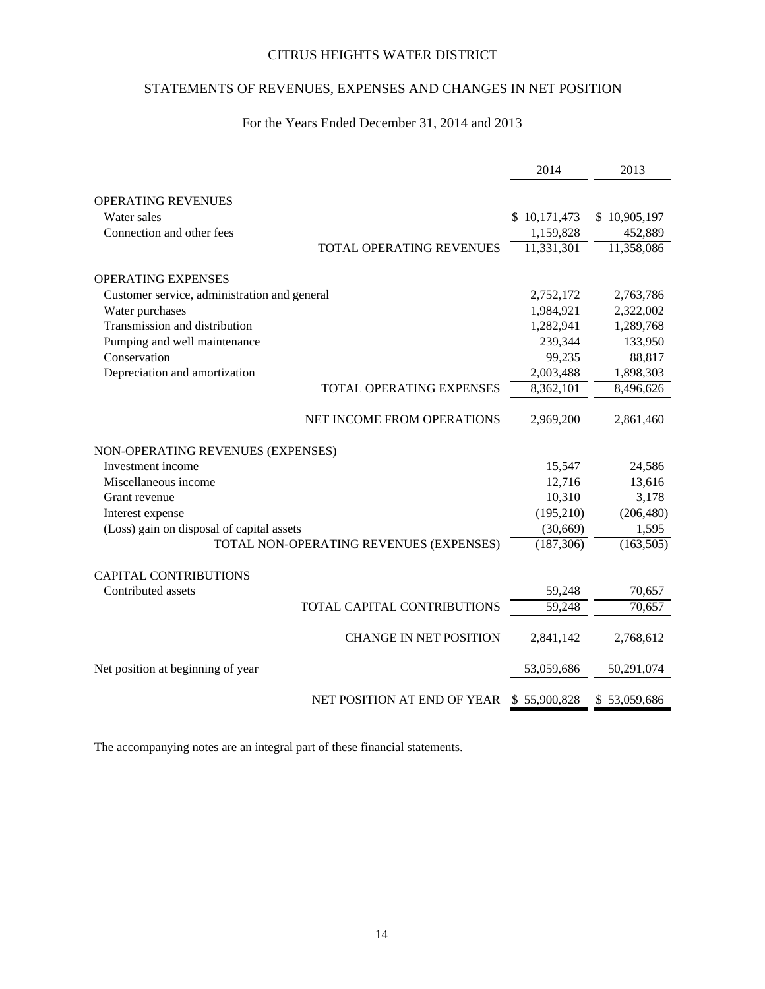# STATEMENTS OF REVENUES, EXPENSES AND CHANGES IN NET POSITION

# For the Years Ended December 31, 2014 and 2013

|                                              | 2014         | 2013         |
|----------------------------------------------|--------------|--------------|
|                                              |              |              |
| <b>OPERATING REVENUES</b><br>Water sales     |              |              |
|                                              | \$10,171,473 | \$10,905,197 |
| Connection and other fees                    | 1,159,828    | 452,889      |
| <b>TOTAL OPERATING REVENUES</b>              | 11,331,301   | 11,358,086   |
| <b>OPERATING EXPENSES</b>                    |              |              |
| Customer service, administration and general | 2,752,172    | 2,763,786    |
| Water purchases                              | 1,984,921    | 2,322,002    |
| Transmission and distribution                | 1,282,941    | 1,289,768    |
| Pumping and well maintenance                 | 239,344      | 133,950      |
| Conservation                                 | 99,235       | 88,817       |
| Depreciation and amortization                | 2,003,488    | 1,898,303    |
| TOTAL OPERATING EXPENSES                     | 8,362,101    | 8,496,626    |
| NET INCOME FROM OPERATIONS                   | 2,969,200    | 2,861,460    |
| NON-OPERATING REVENUES (EXPENSES)            |              |              |
| Investment income                            | 15,547       | 24,586       |
| Miscellaneous income                         | 12,716       | 13,616       |
| Grant revenue                                | 10,310       | 3,178        |
| Interest expense                             | (195, 210)   | (206, 480)   |
| (Loss) gain on disposal of capital assets    | (30,669)     | 1,595        |
| TOTAL NON-OPERATING REVENUES (EXPENSES)      | (187, 306)   | (163, 505)   |
|                                              |              |              |
| <b>CAPITAL CONTRIBUTIONS</b>                 |              |              |
| Contributed assets                           | 59,248       | 70,657       |
| TOTAL CAPITAL CONTRIBUTIONS                  | 59,248       | 70,657       |
| <b>CHANGE IN NET POSITION</b>                | 2,841,142    | 2,768,612    |
| Net position at beginning of year            | 53,059,686   | 50,291,074   |
| NET POSITION AT END OF YEAR                  | \$55,900,828 | \$53,059,686 |

The accompanying notes are an integral part of these financial statements.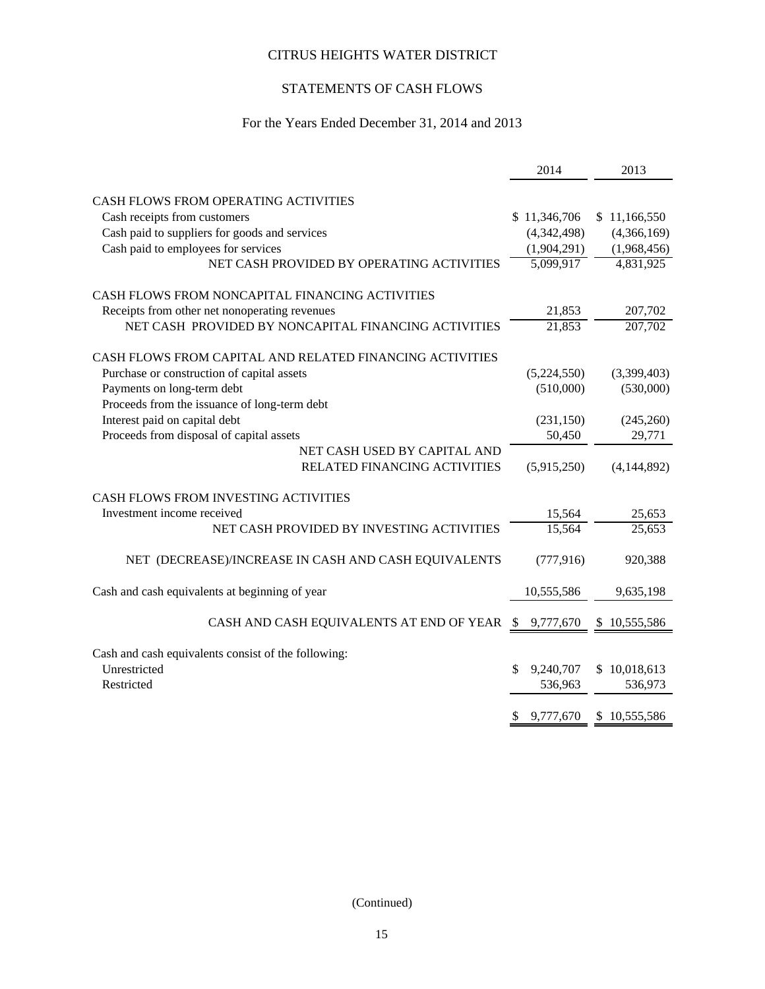# STATEMENTS OF CASH FLOWS

# For the Years Ended December 31, 2014 and 2013

|                                                                     | 2014                | 2013             |
|---------------------------------------------------------------------|---------------------|------------------|
|                                                                     |                     |                  |
| <b>CASH FLOWS FROM OPERATING ACTIVITIES</b>                         |                     |                  |
| Cash receipts from customers                                        | \$11,346,706        | \$11,166,550     |
| Cash paid to suppliers for goods and services                       | (4,342,498)         | (4,366,169)      |
| Cash paid to employees for services                                 | (1,904,291)         | (1,968,456)      |
| NET CASH PROVIDED BY OPERATING ACTIVITIES                           | 5,099,917           | 4,831,925        |
| CASH FLOWS FROM NONCAPITAL FINANCING ACTIVITIES                     |                     |                  |
| Receipts from other net nonoperating revenues                       | 21,853              | 207,702          |
| NET CASH PROVIDED BY NONCAPITAL FINANCING ACTIVITIES                | $\overline{21,853}$ | 207,702          |
| CASH FLOWS FROM CAPITAL AND RELATED FINANCING ACTIVITIES            |                     |                  |
| Purchase or construction of capital assets                          | (5,224,550)         | (3,399,403)      |
| Payments on long-term debt                                          | (510,000)           | (530,000)        |
| Proceeds from the issuance of long-term debt                        |                     |                  |
| Interest paid on capital debt                                       | (231, 150)          | (245,260)        |
| Proceeds from disposal of capital assets                            | 50,450              | 29,771           |
| NET CASH USED BY CAPITAL AND                                        |                     |                  |
| RELATED FINANCING ACTIVITIES                                        | (5,915,250)         | (4,144,892)      |
|                                                                     |                     |                  |
| CASH FLOWS FROM INVESTING ACTIVITIES                                |                     |                  |
| Investment income received                                          | 15,564              | 25,653           |
| NET CASH PROVIDED BY INVESTING ACTIVITIES                           | 15,564              | 25,653           |
| NET (DECREASE)/INCREASE IN CASH AND CASH EQUIVALENTS                | (777, 916)          | 920,388          |
|                                                                     |                     |                  |
| Cash and cash equivalents at beginning of year                      | 10,555,586          | 9,635,198        |
| CASH AND CASH EQUIVALENTS AT END OF YEAR                            | \$ 9,777,670        | \$10,555,586     |
|                                                                     |                     |                  |
| Cash and cash equivalents consist of the following:<br>Unrestricted | 9,240,707<br>\$     | 10,018,613<br>\$ |
| Restricted                                                          | 536,963             | 536,973          |
|                                                                     |                     |                  |
|                                                                     | 9,777,670<br>S      | \$10,555,586     |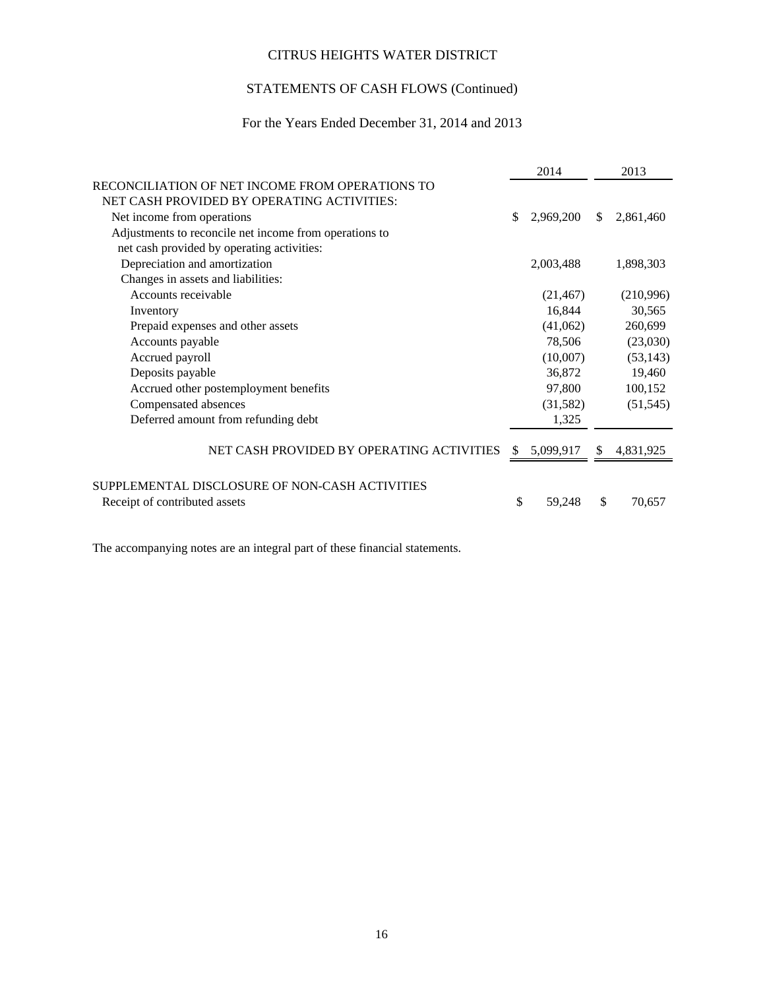# STATEMENTS OF CASH FLOWS (Continued)

# For the Years Ended December 31, 2014 and 2013

|                                                        | 2014            |     | 2013      |
|--------------------------------------------------------|-----------------|-----|-----------|
| RECONCILIATION OF NET INCOME FROM OPERATIONS TO        |                 |     |           |
| NET CASH PROVIDED BY OPERATING ACTIVITIES:             |                 |     |           |
| Net income from operations                             | \$<br>2,969,200 | \$. | 2,861,460 |
| Adjustments to reconcile net income from operations to |                 |     |           |
| net cash provided by operating activities:             |                 |     |           |
| Depreciation and amortization                          | 2,003,488       |     | 1,898,303 |
| Changes in assets and liabilities:                     |                 |     |           |
| Accounts receivable                                    | (21, 467)       |     | (210,996) |
| Inventory                                              | 16,844          |     | 30,565    |
| Prepaid expenses and other assets                      | (41,062)        |     | 260,699   |
| Accounts payable                                       | 78,506          |     | (23,030)  |
| Accrued payroll                                        | (10,007)        |     | (53, 143) |
| Deposits payable                                       | 36,872          |     | 19,460    |
| Accrued other postemployment benefits                  | 97,800          |     | 100,152   |
| Compensated absences                                   | (31, 582)       |     | (51, 545) |
| Deferred amount from refunding debt                    | 1,325           |     |           |
|                                                        |                 |     |           |
| NET CASH PROVIDED BY OPERATING ACTIVITIES              | \$<br>5,099,917 | \$  | 4,831,925 |
|                                                        |                 |     |           |
| SUPPLEMENTAL DISCLOSURE OF NON-CASH ACTIVITIES         |                 |     |           |
| Receipt of contributed assets                          | \$<br>59,248    | \$  | 70,657    |
|                                                        |                 |     |           |

The accompanying notes are an integral part of these financial statements.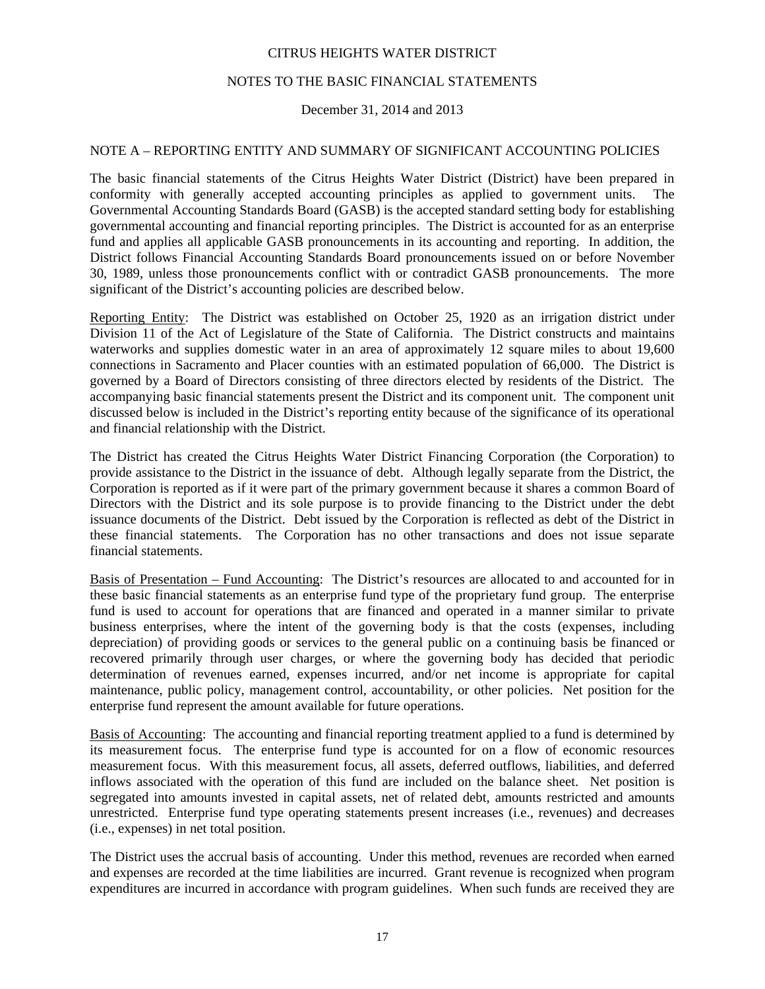## NOTES TO THE BASIC FINANCIAL STATEMENTS

# December 31, 2014 and 2013

## NOTE A – REPORTING ENTITY AND SUMMARY OF SIGNIFICANT ACCOUNTING POLICIES

The basic financial statements of the Citrus Heights Water District (District) have been prepared in conformity with generally accepted accounting principles as applied to government units. The Governmental Accounting Standards Board (GASB) is the accepted standard setting body for establishing governmental accounting and financial reporting principles. The District is accounted for as an enterprise fund and applies all applicable GASB pronouncements in its accounting and reporting. In addition, the District follows Financial Accounting Standards Board pronouncements issued on or before November 30, 1989, unless those pronouncements conflict with or contradict GASB pronouncements. The more significant of the District's accounting policies are described below.

Reporting Entity: The District was established on October 25, 1920 as an irrigation district under Division 11 of the Act of Legislature of the State of California. The District constructs and maintains waterworks and supplies domestic water in an area of approximately 12 square miles to about 19,600 connections in Sacramento and Placer counties with an estimated population of 66,000. The District is governed by a Board of Directors consisting of three directors elected by residents of the District. The accompanying basic financial statements present the District and its component unit. The component unit discussed below is included in the District's reporting entity because of the significance of its operational and financial relationship with the District.

The District has created the Citrus Heights Water District Financing Corporation (the Corporation) to provide assistance to the District in the issuance of debt. Although legally separate from the District, the Corporation is reported as if it were part of the primary government because it shares a common Board of Directors with the District and its sole purpose is to provide financing to the District under the debt issuance documents of the District. Debt issued by the Corporation is reflected as debt of the District in these financial statements. The Corporation has no other transactions and does not issue separate financial statements.

Basis of Presentation – Fund Accounting: The District's resources are allocated to and accounted for in these basic financial statements as an enterprise fund type of the proprietary fund group. The enterprise fund is used to account for operations that are financed and operated in a manner similar to private business enterprises, where the intent of the governing body is that the costs (expenses, including depreciation) of providing goods or services to the general public on a continuing basis be financed or recovered primarily through user charges, or where the governing body has decided that periodic determination of revenues earned, expenses incurred, and/or net income is appropriate for capital maintenance, public policy, management control, accountability, or other policies. Net position for the enterprise fund represent the amount available for future operations.

Basis of Accounting: The accounting and financial reporting treatment applied to a fund is determined by its measurement focus. The enterprise fund type is accounted for on a flow of economic resources measurement focus. With this measurement focus, all assets, deferred outflows, liabilities, and deferred inflows associated with the operation of this fund are included on the balance sheet. Net position is segregated into amounts invested in capital assets, net of related debt, amounts restricted and amounts unrestricted. Enterprise fund type operating statements present increases (i.e., revenues) and decreases (i.e., expenses) in net total position.

The District uses the accrual basis of accounting. Under this method, revenues are recorded when earned and expenses are recorded at the time liabilities are incurred. Grant revenue is recognized when program expenditures are incurred in accordance with program guidelines. When such funds are received they are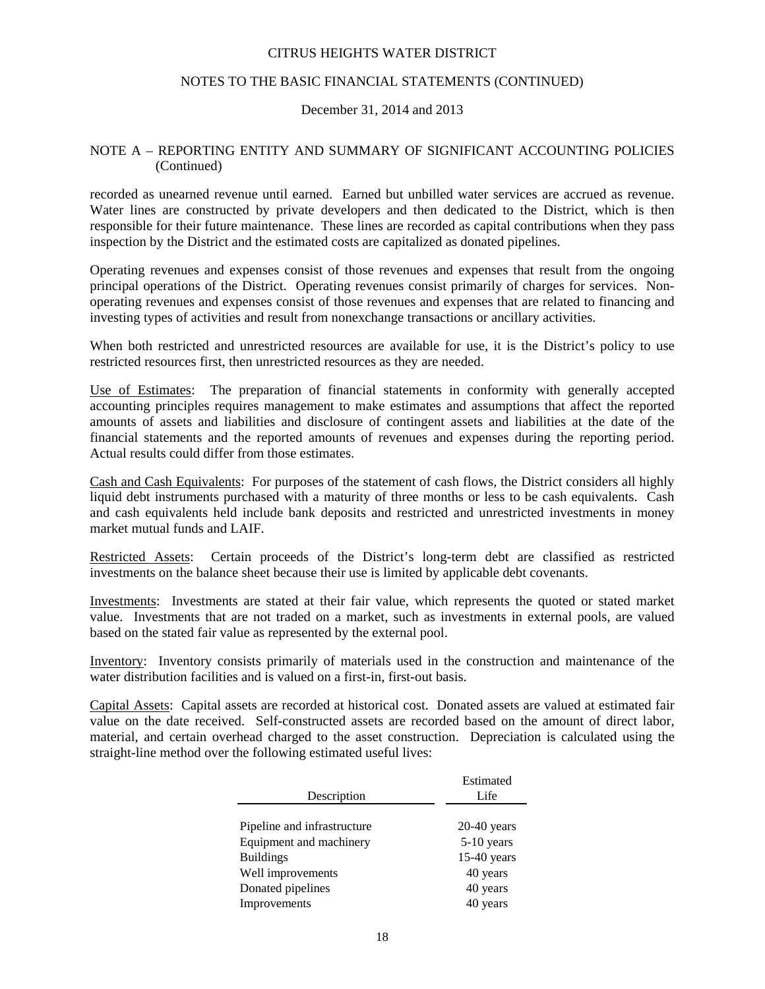## NOTES TO THE BASIC FINANCIAL STATEMENTS (CONTINUED)

## December 31, 2014 and 2013

## NOTE A – REPORTING ENTITY AND SUMMARY OF SIGNIFICANT ACCOUNTING POLICIES (Continued)

recorded as unearned revenue until earned. Earned but unbilled water services are accrued as revenue. Water lines are constructed by private developers and then dedicated to the District, which is then responsible for their future maintenance. These lines are recorded as capital contributions when they pass inspection by the District and the estimated costs are capitalized as donated pipelines.

Operating revenues and expenses consist of those revenues and expenses that result from the ongoing principal operations of the District. Operating revenues consist primarily of charges for services. Nonoperating revenues and expenses consist of those revenues and expenses that are related to financing and investing types of activities and result from nonexchange transactions or ancillary activities.

When both restricted and unrestricted resources are available for use, it is the District's policy to use restricted resources first, then unrestricted resources as they are needed.

Use of Estimates: The preparation of financial statements in conformity with generally accepted accounting principles requires management to make estimates and assumptions that affect the reported amounts of assets and liabilities and disclosure of contingent assets and liabilities at the date of the financial statements and the reported amounts of revenues and expenses during the reporting period. Actual results could differ from those estimates.

Cash and Cash Equivalents: For purposes of the statement of cash flows, the District considers all highly liquid debt instruments purchased with a maturity of three months or less to be cash equivalents. Cash and cash equivalents held include bank deposits and restricted and unrestricted investments in money market mutual funds and LAIF.

Restricted Assets: Certain proceeds of the District's long-term debt are classified as restricted investments on the balance sheet because their use is limited by applicable debt covenants.

Investments: Investments are stated at their fair value, which represents the quoted or stated market value. Investments that are not traded on a market, such as investments in external pools, are valued based on the stated fair value as represented by the external pool.

Inventory: Inventory consists primarily of materials used in the construction and maintenance of the water distribution facilities and is valued on a first-in, first-out basis.

Capital Assets: Capital assets are recorded at historical cost. Donated assets are valued at estimated fair value on the date received. Self-constructed assets are recorded based on the amount of direct labor, material, and certain overhead charged to the asset construction. Depreciation is calculated using the straight-line method over the following estimated useful lives:

|                             | Estimated     |
|-----------------------------|---------------|
| Description                 | Life          |
|                             |               |
| Pipeline and infrastructure | $20-40$ years |
| Equipment and machinery     | $5-10$ years  |
| <b>Buildings</b>            | $15-40$ years |
| Well improvements           | 40 years      |
| Donated pipelines           | 40 years      |
| Improvements                | 40 years      |
|                             |               |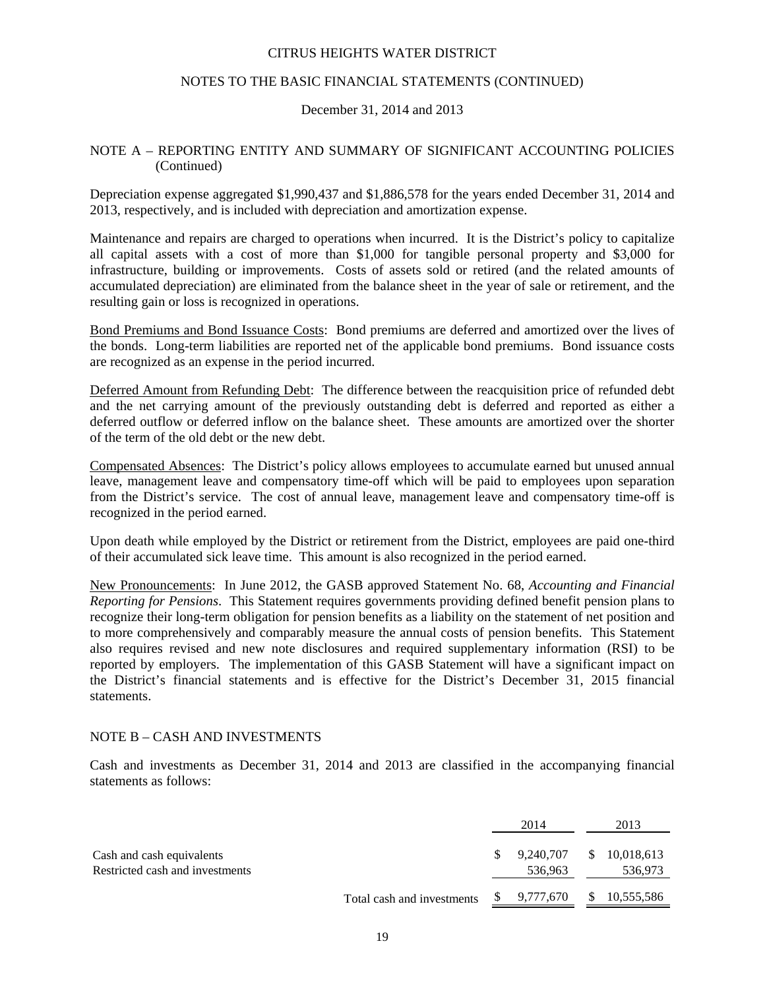## NOTES TO THE BASIC FINANCIAL STATEMENTS (CONTINUED)

# December 31, 2014 and 2013

## NOTE A – REPORTING ENTITY AND SUMMARY OF SIGNIFICANT ACCOUNTING POLICIES (Continued)

Depreciation expense aggregated \$1,990,437 and \$1,886,578 for the years ended December 31, 2014 and 2013, respectively, and is included with depreciation and amortization expense.

Maintenance and repairs are charged to operations when incurred. It is the District's policy to capitalize all capital assets with a cost of more than \$1,000 for tangible personal property and \$3,000 for infrastructure, building or improvements. Costs of assets sold or retired (and the related amounts of accumulated depreciation) are eliminated from the balance sheet in the year of sale or retirement, and the resulting gain or loss is recognized in operations.

Bond Premiums and Bond Issuance Costs: Bond premiums are deferred and amortized over the lives of the bonds. Long-term liabilities are reported net of the applicable bond premiums. Bond issuance costs are recognized as an expense in the period incurred.

Deferred Amount from Refunding Debt: The difference between the reacquisition price of refunded debt and the net carrying amount of the previously outstanding debt is deferred and reported as either a deferred outflow or deferred inflow on the balance sheet. These amounts are amortized over the shorter of the term of the old debt or the new debt.

Compensated Absences: The District's policy allows employees to accumulate earned but unused annual leave, management leave and compensatory time-off which will be paid to employees upon separation from the District's service. The cost of annual leave, management leave and compensatory time-off is recognized in the period earned.

Upon death while employed by the District or retirement from the District, employees are paid one-third of their accumulated sick leave time. This amount is also recognized in the period earned.

New Pronouncements: In June 2012, the GASB approved Statement No. 68, *Accounting and Financial Reporting for Pensions*. This Statement requires governments providing defined benefit pension plans to recognize their long-term obligation for pension benefits as a liability on the statement of net position and to more comprehensively and comparably measure the annual costs of pension benefits. This Statement also requires revised and new note disclosures and required supplementary information (RSI) to be reported by employers. The implementation of this GASB Statement will have a significant impact on the District's financial statements and is effective for the District's December 31, 2015 financial statements.

#### NOTE B – CASH AND INVESTMENTS

Cash and investments as December 31, 2014 and 2013 are classified in the accompanying financial statements as follows:

|                                                              |                            |     | 2014                 |              | 2013                  |
|--------------------------------------------------------------|----------------------------|-----|----------------------|--------------|-----------------------|
| Cash and cash equivalents<br>Restricted cash and investments |                            | SS. | 9.240.707<br>536,963 | <sup>S</sup> | 10,018,613<br>536,973 |
|                                                              | Total cash and investments |     | 9,777,670            | S.           | 10,555,586            |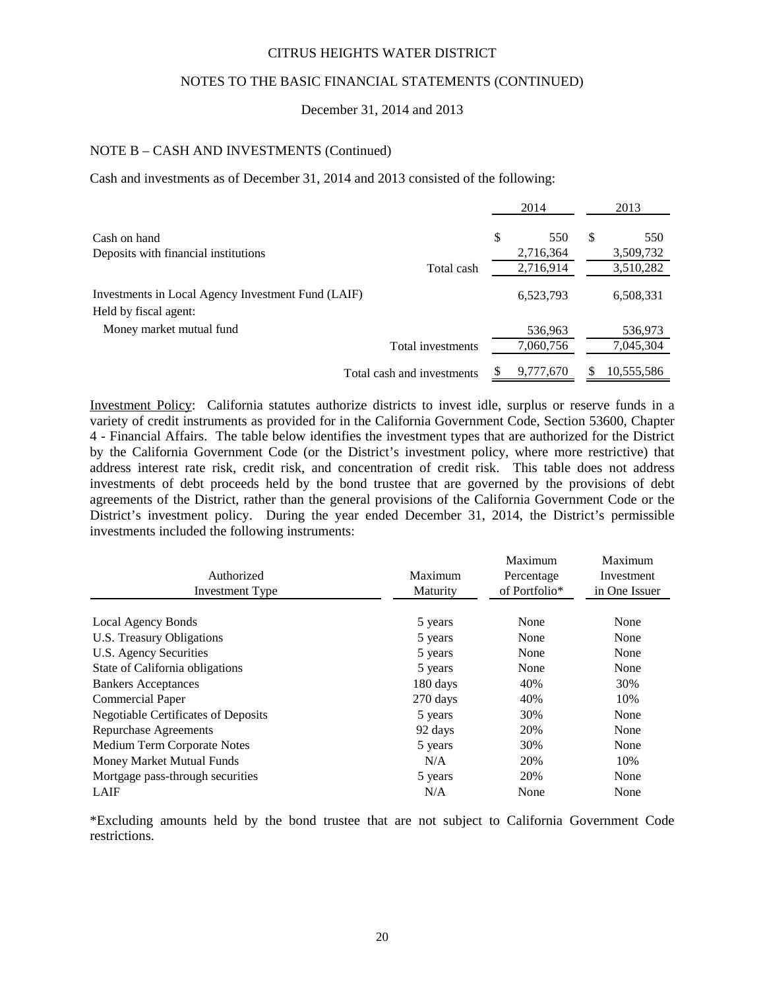# NOTES TO THE BASIC FINANCIAL STATEMENTS (CONTINUED)

#### December 31, 2014 and 2013

## NOTE B – CASH AND INVESTMENTS (Continued)

Cash and investments as of December 31, 2014 and 2013 consisted of the following:

|                                                    | 2014      |    | 2013       |
|----------------------------------------------------|-----------|----|------------|
| Cash on hand                                       | \$<br>550 | \$ | 550        |
| Deposits with financial institutions               | 2,716,364 |    | 3,509,732  |
| Total cash                                         | 2,716,914 |    | 3,510,282  |
| Investments in Local Agency Investment Fund (LAIF) | 6,523,793 |    | 6,508,331  |
| Held by fiscal agent:                              |           |    |            |
| Money market mutual fund                           | 536,963   |    | 536,973    |
| Total investments                                  | 7,060,756 |    | 7,045,304  |
| Total cash and investments                         | 9,777,670 | S  | 10,555,586 |

Investment Policy: California statutes authorize districts to invest idle, surplus or reserve funds in a variety of credit instruments as provided for in the California Government Code, Section 53600, Chapter 4 - Financial Affairs. The table below identifies the investment types that are authorized for the District by the California Government Code (or the District's investment policy, where more restrictive) that address interest rate risk, credit risk, and concentration of credit risk. This table does not address investments of debt proceeds held by the bond trustee that are governed by the provisions of debt agreements of the District, rather than the general provisions of the California Government Code or the District's investment policy. During the year ended December 31, 2014, the District's permissible investments included the following instruments:

| Authorized                                 | Maximum  | Maximum<br>Percentage | Maximum<br>Investment |
|--------------------------------------------|----------|-----------------------|-----------------------|
| <b>Investment Type</b>                     | Maturity | of Portfolio*         | in One Issuer         |
|                                            |          |                       |                       |
| <b>Local Agency Bonds</b>                  | 5 years  | None                  | None                  |
| U.S. Treasury Obligations                  | 5 years  | None                  | None                  |
| U.S. Agency Securities                     | 5 years  | None                  | None                  |
| State of California obligations            | 5 years  | None                  | None                  |
| <b>Bankers Acceptances</b>                 | 180 days | 40%                   | 30%                   |
| <b>Commercial Paper</b>                    | 270 days | 40%                   | 10%                   |
| <b>Negotiable Certificates of Deposits</b> | 5 years  | 30%                   | None                  |
| <b>Repurchase Agreements</b>               | 92 days  | 20%                   | None                  |
| Medium Term Corporate Notes                | 5 years  | 30%                   | None                  |
| Money Market Mutual Funds                  | N/A      | 20%                   | 10%                   |
| Mortgage pass-through securities           | 5 years  | 20%                   | None                  |
| LAIF                                       | N/A      | None                  | None                  |

\*Excluding amounts held by the bond trustee that are not subject to California Government Code restrictions.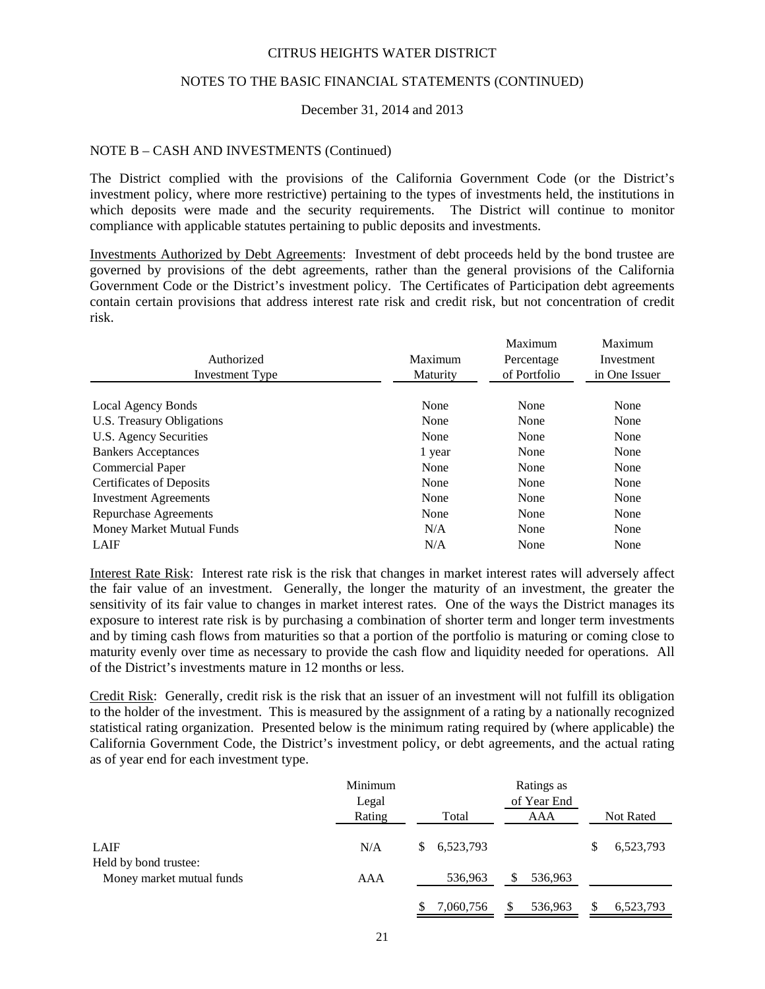## NOTES TO THE BASIC FINANCIAL STATEMENTS (CONTINUED)

## December 31, 2014 and 2013

#### NOTE B – CASH AND INVESTMENTS (Continued)

The District complied with the provisions of the California Government Code (or the District's investment policy, where more restrictive) pertaining to the types of investments held, the institutions in which deposits were made and the security requirements. The District will continue to monitor compliance with applicable statutes pertaining to public deposits and investments.

Investments Authorized by Debt Agreements: Investment of debt proceeds held by the bond trustee are governed by provisions of the debt agreements, rather than the general provisions of the California Government Code or the District's investment policy. The Certificates of Participation debt agreements contain certain provisions that address interest rate risk and credit risk, but not concentration of credit risk.

|                                 |          | Maximum      | Maximum       |
|---------------------------------|----------|--------------|---------------|
| Authorized                      | Maximum  | Percentage   | Investment    |
| Investment Type                 | Maturity | of Portfolio | in One Issuer |
|                                 |          |              |               |
| Local Agency Bonds              | None     | None         | None          |
| U.S. Treasury Obligations       | None     | None         | None          |
| U.S. Agency Securities          | None     | None         | None          |
| <b>Bankers Acceptances</b>      | 1 year   | None         | None          |
| Commercial Paper                | None     | None         | None          |
| <b>Certificates of Deposits</b> | None     | None         | None          |
| <b>Investment Agreements</b>    | None     | None         | None          |
| Repurchase Agreements           | None     | None         | None          |
| Money Market Mutual Funds       | N/A      | None         | None          |
| LAIF                            | N/A      | None         | None          |

Interest Rate Risk: Interest rate risk is the risk that changes in market interest rates will adversely affect the fair value of an investment. Generally, the longer the maturity of an investment, the greater the sensitivity of its fair value to changes in market interest rates. One of the ways the District manages its exposure to interest rate risk is by purchasing a combination of shorter term and longer term investments and by timing cash flows from maturities so that a portion of the portfolio is maturing or coming close to maturity evenly over time as necessary to provide the cash flow and liquidity needed for operations. All of the District's investments mature in 12 months or less.

Credit Risk: Generally, credit risk is the risk that an issuer of an investment will not fulfill its obligation to the holder of the investment. This is measured by the assignment of a rating by a nationally recognized statistical rating organization. Presented below is the minimum rating required by (where applicable) the California Government Code, the District's investment policy, or debt agreements, and the actual rating as of year end for each investment type.

|                           | Minimum |                 | Ratings as   |           |
|---------------------------|---------|-----------------|--------------|-----------|
|                           | Legal   |                 | of Year End  |           |
|                           | Rating  | Total           | AAA          | Not Rated |
|                           |         |                 |              |           |
| LAIF                      | N/A     | 6,523,793<br>S  |              | 6,523,793 |
| Held by bond trustee:     |         |                 |              |           |
| Money market mutual funds | AAA     | 536,963         | 536,963<br>S |           |
|                           |         |                 |              |           |
|                           |         | 7,060,756<br>\$ | 536,963      | 6,523,793 |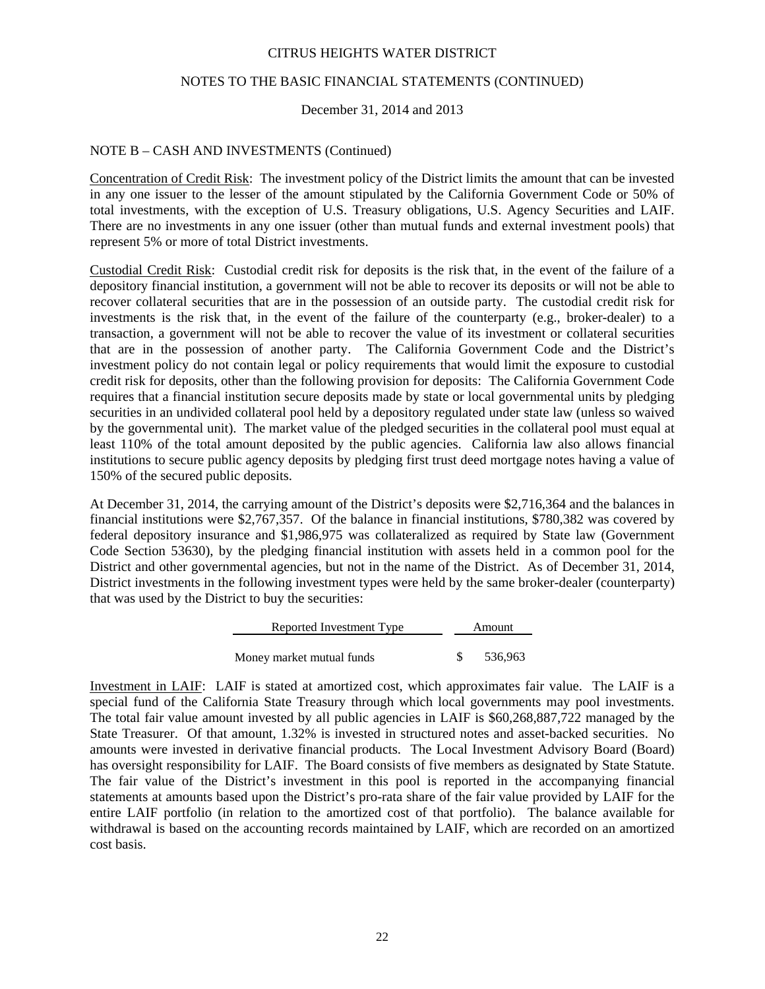## NOTES TO THE BASIC FINANCIAL STATEMENTS (CONTINUED)

## December 31, 2014 and 2013

# NOTE B – CASH AND INVESTMENTS (Continued)

Concentration of Credit Risk: The investment policy of the District limits the amount that can be invested in any one issuer to the lesser of the amount stipulated by the California Government Code or 50% of total investments, with the exception of U.S. Treasury obligations, U.S. Agency Securities and LAIF. There are no investments in any one issuer (other than mutual funds and external investment pools) that represent 5% or more of total District investments.

Custodial Credit Risk: Custodial credit risk for deposits is the risk that, in the event of the failure of a depository financial institution, a government will not be able to recover its deposits or will not be able to recover collateral securities that are in the possession of an outside party. The custodial credit risk for investments is the risk that, in the event of the failure of the counterparty (e.g., broker-dealer) to a transaction, a government will not be able to recover the value of its investment or collateral securities that are in the possession of another party. The California Government Code and the District's investment policy do not contain legal or policy requirements that would limit the exposure to custodial credit risk for deposits, other than the following provision for deposits: The California Government Code requires that a financial institution secure deposits made by state or local governmental units by pledging securities in an undivided collateral pool held by a depository regulated under state law (unless so waived by the governmental unit). The market value of the pledged securities in the collateral pool must equal at least 110% of the total amount deposited by the public agencies. California law also allows financial institutions to secure public agency deposits by pledging first trust deed mortgage notes having a value of 150% of the secured public deposits.

At December 31, 2014, the carrying amount of the District's deposits were \$2,716,364 and the balances in financial institutions were \$2,767,357. Of the balance in financial institutions, \$780,382 was covered by federal depository insurance and \$1,986,975 was collateralized as required by State law (Government Code Section 53630), by the pledging financial institution with assets held in a common pool for the District and other governmental agencies, but not in the name of the District. As of December 31, 2014, District investments in the following investment types were held by the same broker-dealer (counterparty) that was used by the District to buy the securities:

| Reported Investment Type  | Amount  |
|---------------------------|---------|
|                           |         |
| Money market mutual funds | 536.963 |

Investment in LAIF: LAIF is stated at amortized cost, which approximates fair value. The LAIF is a special fund of the California State Treasury through which local governments may pool investments. The total fair value amount invested by all public agencies in LAIF is \$60,268,887,722 managed by the State Treasurer. Of that amount, 1.32% is invested in structured notes and asset-backed securities. No amounts were invested in derivative financial products. The Local Investment Advisory Board (Board) has oversight responsibility for LAIF. The Board consists of five members as designated by State Statute. The fair value of the District's investment in this pool is reported in the accompanying financial statements at amounts based upon the District's pro-rata share of the fair value provided by LAIF for the entire LAIF portfolio (in relation to the amortized cost of that portfolio). The balance available for withdrawal is based on the accounting records maintained by LAIF, which are recorded on an amortized cost basis.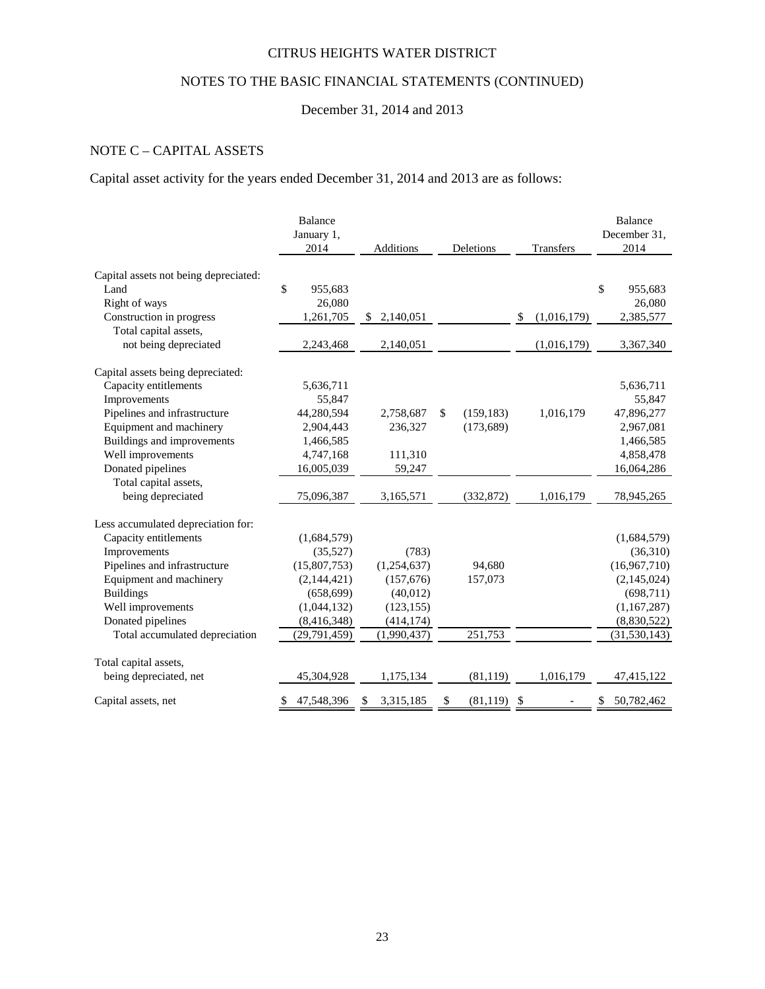# NOTES TO THE BASIC FINANCIAL STATEMENTS (CONTINUED)

# December 31, 2014 and 2013

# NOTE C – CAPITAL ASSETS

Capital asset activity for the years ended December 31, 2014 and 2013 are as follows:

|                                       | <b>Balance</b><br>January 1,<br>2014 | Additions       | Deletions        | Transfers         | <b>Balance</b><br>December 31,<br>2014 |
|---------------------------------------|--------------------------------------|-----------------|------------------|-------------------|----------------------------------------|
| Capital assets not being depreciated: |                                      |                 |                  |                   |                                        |
| Land                                  | \$<br>955,683                        |                 |                  |                   | \$<br>955,683                          |
| Right of ways                         | 26,080                               |                 |                  |                   | 26,080                                 |
| Construction in progress              | 1,261,705                            | 2,140,051<br>\$ |                  | (1,016,179)<br>\$ | 2,385,577                              |
| Total capital assets,                 |                                      |                 |                  |                   |                                        |
| not being depreciated                 | 2,243,468                            | 2,140,051       |                  | (1,016,179)       | 3,367,340                              |
| Capital assets being depreciated:     |                                      |                 |                  |                   |                                        |
| Capacity entitlements                 | 5,636,711                            |                 |                  |                   | 5,636,711                              |
| Improvements                          | 55,847                               |                 |                  |                   | 55,847                                 |
| Pipelines and infrastructure          | 44,280,594                           | 2,758,687       | \$<br>(159, 183) | 1,016,179         | 47,896,277                             |
| Equipment and machinery               | 2,904,443                            | 236,327         | (173, 689)       |                   | 2,967,081                              |
| Buildings and improvements            | 1,466,585                            |                 |                  |                   | 1,466,585                              |
| Well improvements                     | 4,747,168                            | 111,310         |                  |                   | 4,858,478                              |
| Donated pipelines                     | 16,005,039                           | 59,247          |                  |                   | 16,064,286                             |
| Total capital assets,                 |                                      |                 |                  |                   |                                        |
| being depreciated                     | 75,096,387                           | 3,165,571       | (332, 872)       | 1,016,179         | 78,945,265                             |
| Less accumulated depreciation for:    |                                      |                 |                  |                   |                                        |
| Capacity entitlements                 | (1,684,579)                          |                 |                  |                   | (1,684,579)                            |
| Improvements                          | (35,527)                             | (783)           |                  |                   | (36,310)                               |
| Pipelines and infrastructure          | (15,807,753)                         | (1,254,637)     | 94,680           |                   | (16,967,710)                           |
| Equipment and machinery               | (2,144,421)                          | (157, 676)      | 157,073          |                   | (2,145,024)                            |
| <b>Buildings</b>                      | (658, 699)                           | (40,012)        |                  |                   | (698,711)                              |
| Well improvements                     | (1,044,132)                          | (123, 155)      |                  |                   | (1,167,287)                            |
| Donated pipelines                     | (8, 416, 348)                        | (414, 174)      |                  |                   | (8,830,522)                            |
| Total accumulated depreciation        | (29, 791, 459)                       | (1,990,437)     | 251,753          |                   | (31, 530, 143)                         |
| Total capital assets,                 |                                      |                 |                  |                   |                                        |
| being depreciated, net                | 45,304,928                           | 1,175,134       | (81, 119)        | 1,016,179         | 47,415,122                             |
| Capital assets, net                   | 47,548,396                           | 3,315,185<br>S. | \$.<br>(81, 119) | $\mathcal{S}$     | 50,782,462                             |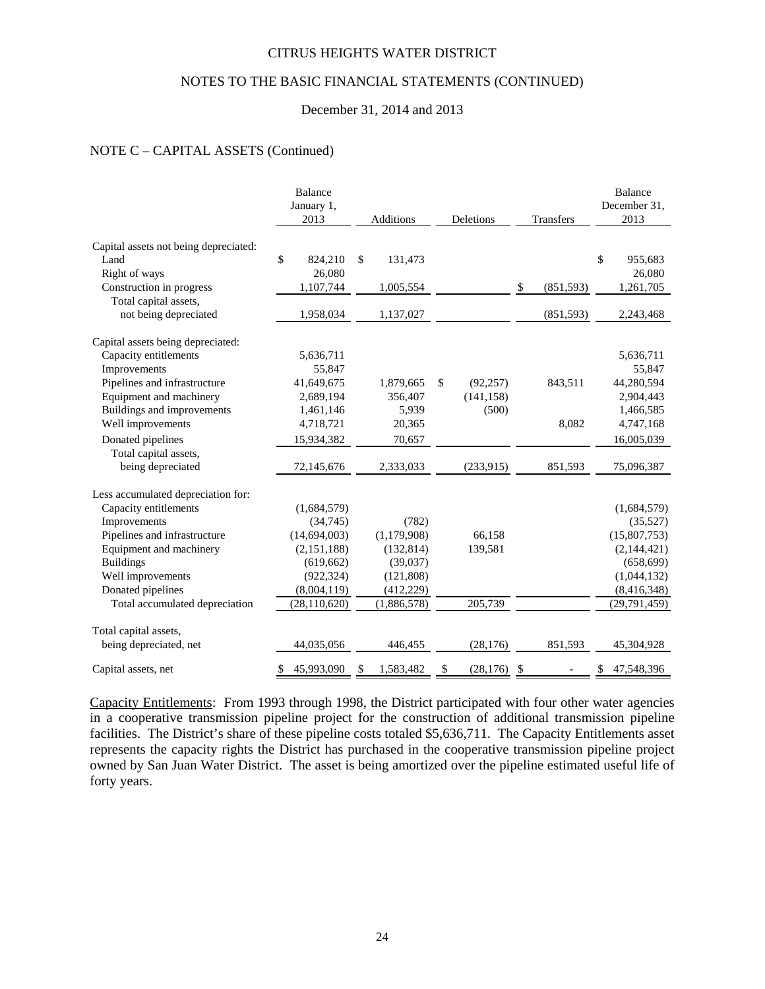## NOTES TO THE BASIC FINANCIAL STATEMENTS (CONTINUED)

#### December 31, 2014 and 2013

# NOTE C – CAPITAL ASSETS (Continued)

|                                       | Balance<br>January 1,<br>2013 | Additions       | Deletions       | Transfers        | <b>Balance</b><br>December 31,<br>2013 |
|---------------------------------------|-------------------------------|-----------------|-----------------|------------------|----------------------------------------|
| Capital assets not being depreciated: |                               |                 |                 |                  |                                        |
| Land                                  | \$<br>824,210                 | \$<br>131,473   |                 |                  | \$<br>955,683                          |
| Right of ways                         | 26,080                        |                 |                 |                  | 26,080                                 |
| Construction in progress              | 1,107,744                     | 1,005,554       |                 | \$<br>(851, 593) | 1,261,705                              |
| Total capital assets,                 |                               |                 |                 |                  |                                        |
| not being depreciated                 | 1,958,034                     | 1,137,027       |                 | (851, 593)       | 2,243,468                              |
| Capital assets being depreciated:     |                               |                 |                 |                  |                                        |
| Capacity entitlements                 | 5,636,711                     |                 |                 |                  | 5,636,711                              |
| Improvements                          | 55,847                        |                 |                 |                  | 55,847                                 |
| Pipelines and infrastructure          | 41,649,675                    | 1,879,665       | \$<br>(92, 257) | 843,511          | 44,280,594                             |
| Equipment and machinery               | 2,689,194                     | 356,407         | (141, 158)      |                  | 2,904,443                              |
| Buildings and improvements            | 1,461,146                     | 5,939           | (500)           |                  | 1,466,585                              |
| Well improvements                     | 4,718,721                     | 20,365          |                 | 8,082            | 4,747,168                              |
| Donated pipelines                     | 15,934,382                    | 70,657          |                 |                  | 16,005,039                             |
| Total capital assets,                 |                               |                 |                 |                  |                                        |
| being depreciated                     | 72,145,676                    | 2,333,033       | (233,915)       | 851,593          | 75,096,387                             |
| Less accumulated depreciation for:    |                               |                 |                 |                  |                                        |
| Capacity entitlements                 | (1,684,579)                   |                 |                 |                  | (1,684,579)                            |
| Improvements                          | (34,745)                      | (782)           |                 |                  | (35,527)                               |
| Pipelines and infrastructure          | (14,694,003)                  | (1,179,908)     | 66,158          |                  | (15,807,753)                           |
| Equipment and machinery               | (2,151,188)                   | (132, 814)      | 139,581         |                  | (2,144,421)                            |
| <b>Buildings</b>                      | (619, 662)                    | (39,037)        |                 |                  | (658, 699)                             |
| Well improvements                     | (922, 324)                    | (121, 808)      |                 |                  | (1,044,132)                            |
| Donated pipelines                     | (8,004,119)                   | (412, 229)      |                 |                  | (8, 416, 348)                          |
| Total accumulated depreciation        | (28, 110, 620)                | (1,886,578)     | 205,739         |                  | (29, 791, 459)                         |
| Total capital assets,                 |                               |                 |                 |                  |                                        |
| being depreciated, net                | 44,035,056                    | 446,455         | (28, 176)       | 851,593          | 45,304,928                             |
| Capital assets, net                   | 45,993,090<br>\$              | 1,583,482<br>\$ | \$<br>(28, 176) | $\mathbb{S}$     | 47,548,396<br>\$                       |

Capacity Entitlements: From 1993 through 1998, the District participated with four other water agencies in a cooperative transmission pipeline project for the construction of additional transmission pipeline facilities. The District's share of these pipeline costs totaled \$5,636,711. The Capacity Entitlements asset represents the capacity rights the District has purchased in the cooperative transmission pipeline project owned by San Juan Water District. The asset is being amortized over the pipeline estimated useful life of forty years.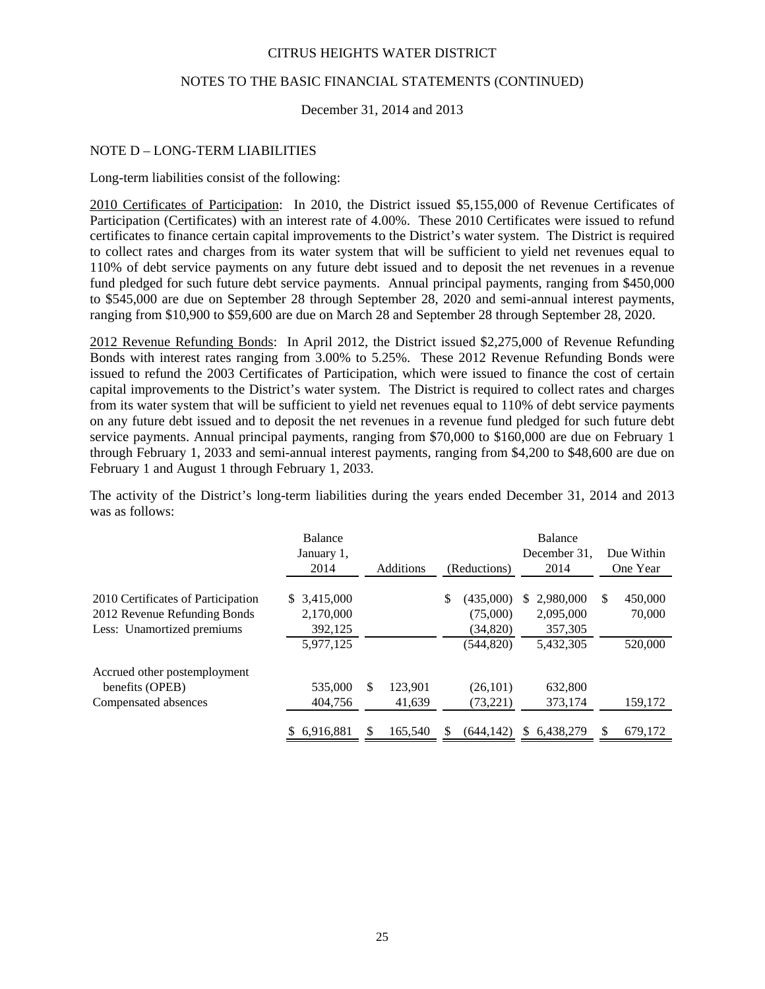# NOTES TO THE BASIC FINANCIAL STATEMENTS (CONTINUED)

December 31, 2014 and 2013

# NOTE D – LONG-TERM LIABILITIES

Long-term liabilities consist of the following:

2010 Certificates of Participation: In 2010, the District issued \$5,155,000 of Revenue Certificates of Participation (Certificates) with an interest rate of 4.00%. These 2010 Certificates were issued to refund certificates to finance certain capital improvements to the District's water system. The District is required to collect rates and charges from its water system that will be sufficient to yield net revenues equal to 110% of debt service payments on any future debt issued and to deposit the net revenues in a revenue fund pledged for such future debt service payments. Annual principal payments, ranging from \$450,000 to \$545,000 are due on September 28 through September 28, 2020 and semi-annual interest payments, ranging from \$10,900 to \$59,600 are due on March 28 and September 28 through September 28, 2020.

2012 Revenue Refunding Bonds: In April 2012, the District issued \$2,275,000 of Revenue Refunding Bonds with interest rates ranging from 3.00% to 5.25%. These 2012 Revenue Refunding Bonds were issued to refund the 2003 Certificates of Participation, which were issued to finance the cost of certain capital improvements to the District's water system. The District is required to collect rates and charges from its water system that will be sufficient to yield net revenues equal to 110% of debt service payments on any future debt issued and to deposit the net revenues in a revenue fund pledged for such future debt service payments. Annual principal payments, ranging from \$70,000 to \$160,000 are due on February 1 through February 1, 2033 and semi-annual interest payments, ranging from \$4,200 to \$48,600 are due on February 1 and August 1 through February 1, 2033.

The activity of the District's long-term liabilities during the years ended December 31, 2014 and 2013 was as follows:

|                                                                                                  | <b>Balance</b><br>January 1,<br>2014 |    | Additions         | (Reductions) |                                     | <b>Balance</b><br>December 31.<br>2014 |                                   | Due Within<br>One Year |                    |
|--------------------------------------------------------------------------------------------------|--------------------------------------|----|-------------------|--------------|-------------------------------------|----------------------------------------|-----------------------------------|------------------------|--------------------|
| 2010 Certificates of Participation<br>2012 Revenue Refunding Bonds<br>Less: Unamortized premiums | \$3,415,000<br>2,170,000<br>392,125  |    |                   | \$           | (435,000)<br>(75,000)<br>(34,820)   | S.                                     | 2.980.000<br>2,095,000<br>357,305 | \$                     | 450,000<br>70,000  |
| Accrued other postemployment<br>benefits (OPEB)<br>Compensated absences                          | 5,977,125<br>535,000<br>404,756      | \$ | 123.901<br>41,639 |              | (544, 820)<br>(26, 101)<br>(73,221) |                                        | 5,432,305<br>632,800<br>373,174   |                        | 520,000<br>159,172 |
|                                                                                                  | 6.916.881<br>S.                      | S  | 165.540           |              | (644.142)                           | S.                                     | 6.438.279                         | S                      | 679.172            |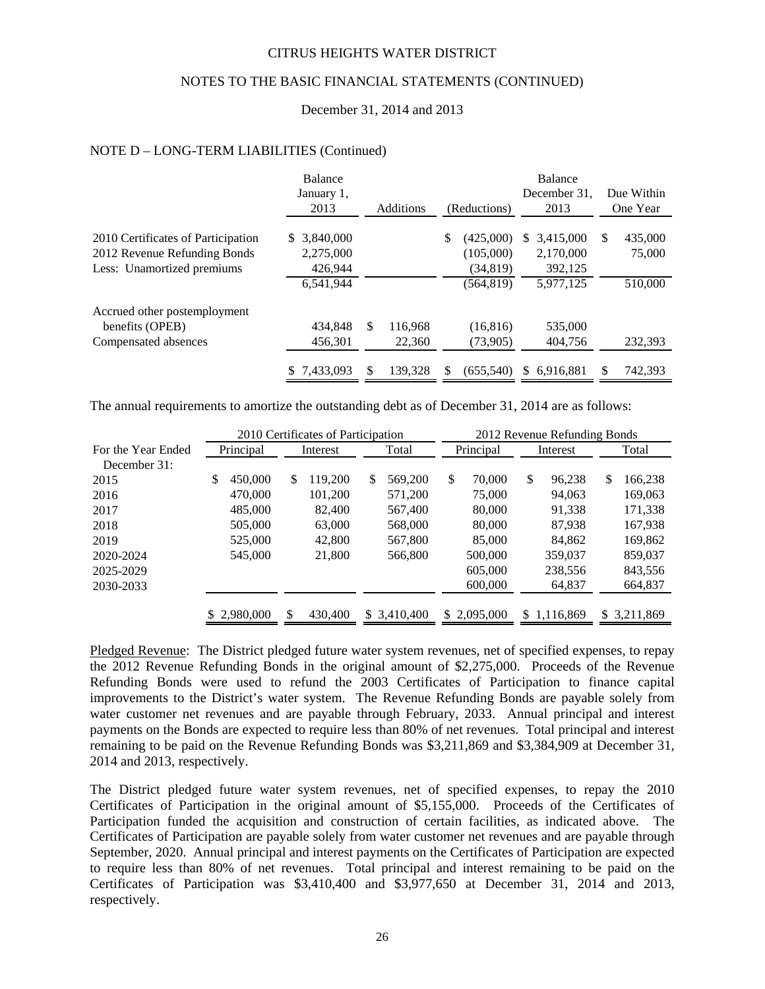# NOTES TO THE BASIC FINANCIAL STATEMENTS (CONTINUED)

#### December 31, 2014 and 2013

#### NOTE D – LONG-TERM LIABILITIES (Continued)

|                                                                                                  | Balance<br>January 1,<br>2013        |               | Additions | (Reductions)                              | <b>Balance</b><br>December 31.<br>2013  |     | Due Within<br>One Year |
|--------------------------------------------------------------------------------------------------|--------------------------------------|---------------|-----------|-------------------------------------------|-----------------------------------------|-----|------------------------|
| 2010 Certificates of Participation<br>2012 Revenue Refunding Bonds<br>Less: Unamortized premiums | \$ 3,840,000<br>2,275,000<br>426.944 |               |           | \$<br>(425,000)<br>(105,000)<br>(34, 819) | 3,415,000<br>S.<br>2,170,000<br>392,125 | \$. | 435,000<br>75,000      |
| Accrued other postemployment                                                                     | 6,541,944                            |               |           | (564, 819)                                | 5,977,125                               |     | 510,000                |
| benefits (OPEB)                                                                                  | 434.848                              | <sup>\$</sup> | 116.968   | (16, 816)                                 | 535,000                                 |     |                        |
| Compensated absences                                                                             | 456,301                              |               | 22,360    | (73,905)                                  | 404,756                                 |     | 232.393                |
|                                                                                                  | 7.433.093                            | \$.           | 139.328   | (655.540)                                 | 6.916.881<br>SS.                        | \$  | 742,393                |

The annual requirements to amortize the outstanding debt as of December 31, 2014 are as follows:

|                    |              |          | 2010 Certificates of Participation<br>2012 Revenue Refunding Bonds |    |           |    |           |    |             |    |              |
|--------------------|--------------|----------|--------------------------------------------------------------------|----|-----------|----|-----------|----|-------------|----|--------------|
| For the Year Ended | Principal    | Interest |                                                                    |    | Total     |    | Principal |    | Interest    |    | Total        |
| December 31:       |              |          |                                                                    |    |           |    |           |    |             |    |              |
| 2015               | 450,000<br>S | \$       | 119,200                                                            | \$ | 569,200   | \$ | 70,000    | \$ | 96,238      | \$ | 166,238      |
| 2016               | 470,000      |          | 101,200                                                            |    | 571.200   |    | 75,000    |    | 94,063      |    | 169,063      |
| 2017               | 485,000      |          | 82,400                                                             |    | 567,400   |    | 80,000    |    | 91,338      |    | 171,338      |
| 2018               | 505,000      |          | 63,000                                                             |    | 568,000   |    | 80,000    |    | 87.938      |    | 167,938      |
| 2019               | 525,000      |          | 42,800                                                             |    | 567,800   |    | 85,000    |    | 84.862      |    | 169,862      |
| 2020-2024          | 545,000      |          | 21,800                                                             |    | 566,800   |    | 500,000   |    | 359,037     |    | 859.037      |
| 2025-2029          |              |          |                                                                    |    |           |    | 605,000   |    | 238,556     |    | 843,556      |
| 2030-2033          |              |          |                                                                    |    |           |    | 600,000   |    | 64,837      |    | 664,837      |
|                    |              |          |                                                                    |    |           |    |           |    |             |    |              |
|                    | \$2,980,000  |          | 430,400                                                            | S. | 3,410,400 | S. | 2,095,000 |    | \$1,116,869 |    | \$ 3,211,869 |

Pledged Revenue: The District pledged future water system revenues, net of specified expenses, to repay the 2012 Revenue Refunding Bonds in the original amount of \$2,275,000. Proceeds of the Revenue Refunding Bonds were used to refund the 2003 Certificates of Participation to finance capital improvements to the District's water system. The Revenue Refunding Bonds are payable solely from water customer net revenues and are payable through February, 2033. Annual principal and interest payments on the Bonds are expected to require less than 80% of net revenues. Total principal and interest remaining to be paid on the Revenue Refunding Bonds was \$3,211,869 and \$3,384,909 at December 31, 2014 and 2013, respectively.

The District pledged future water system revenues, net of specified expenses, to repay the 2010 Certificates of Participation in the original amount of \$5,155,000. Proceeds of the Certificates of Participation funded the acquisition and construction of certain facilities, as indicated above. The Certificates of Participation are payable solely from water customer net revenues and are payable through September, 2020. Annual principal and interest payments on the Certificates of Participation are expected to require less than 80% of net revenues. Total principal and interest remaining to be paid on the Certificates of Participation was \$3,410,400 and \$3,977,650 at December 31, 2014 and 2013, respectively.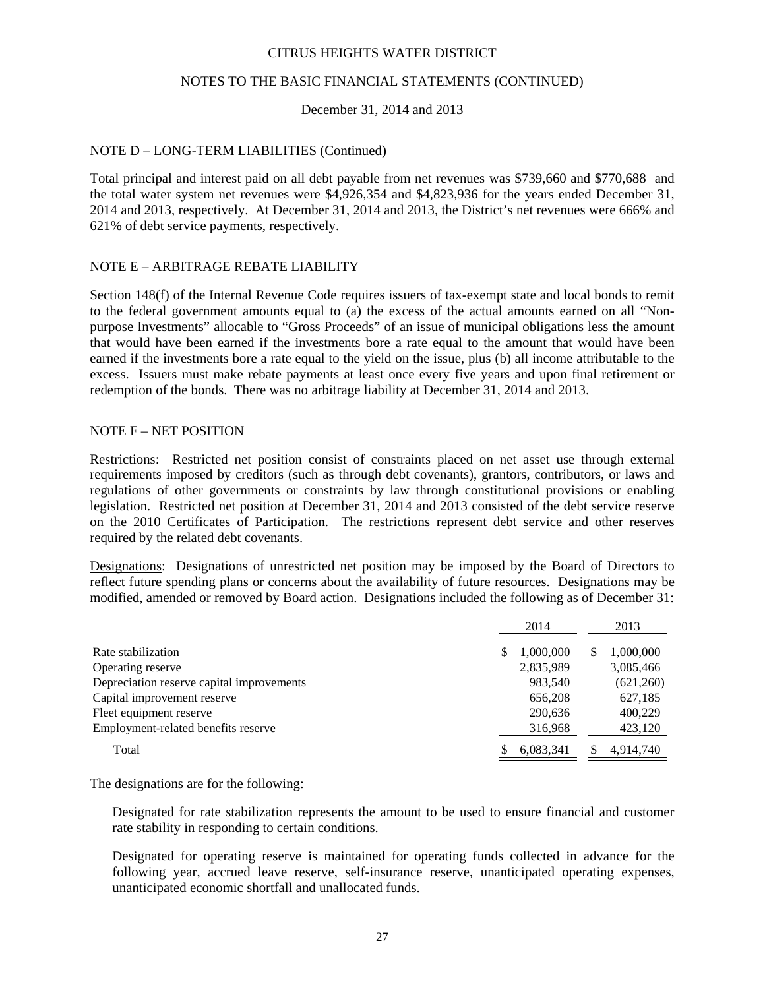## NOTES TO THE BASIC FINANCIAL STATEMENTS (CONTINUED)

## December 31, 2014 and 2013

## NOTE D – LONG-TERM LIABILITIES (Continued)

Total principal and interest paid on all debt payable from net revenues was \$739,660 and \$770,688 and the total water system net revenues were \$4,926,354 and \$4,823,936 for the years ended December 31, 2014 and 2013, respectively. At December 31, 2014 and 2013, the District's net revenues were 666% and 621% of debt service payments, respectively.

#### NOTE E – ARBITRAGE REBATE LIABILITY

Section 148(f) of the Internal Revenue Code requires issuers of tax-exempt state and local bonds to remit to the federal government amounts equal to (a) the excess of the actual amounts earned on all "Nonpurpose Investments" allocable to "Gross Proceeds" of an issue of municipal obligations less the amount that would have been earned if the investments bore a rate equal to the amount that would have been earned if the investments bore a rate equal to the yield on the issue, plus (b) all income attributable to the excess. Issuers must make rebate payments at least once every five years and upon final retirement or redemption of the bonds. There was no arbitrage liability at December 31, 2014 and 2013.

#### NOTE F – NET POSITION

Restrictions: Restricted net position consist of constraints placed on net asset use through external requirements imposed by creditors (such as through debt covenants), grantors, contributors, or laws and regulations of other governments or constraints by law through constitutional provisions or enabling legislation. Restricted net position at December 31, 2014 and 2013 consisted of the debt service reserve on the 2010 Certificates of Participation. The restrictions represent debt service and other reserves required by the related debt covenants.

Designations: Designations of unrestricted net position may be imposed by the Board of Directors to reflect future spending plans or concerns about the availability of future resources. Designations may be modified, amended or removed by Board action. Designations included the following as of December 31:

|                                           | 2014           | 2013           |
|-------------------------------------------|----------------|----------------|
| Rate stabilization                        | 1,000,000<br>S | 1,000,000<br>S |
| Operating reserve                         | 2,835,989      | 3,085,466      |
| Depreciation reserve capital improvements | 983.540        | (621,260)      |
| Capital improvement reserve               | 656,208        | 627,185        |
| Fleet equipment reserve                   | 290,636        | 400,229        |
| Employment-related benefits reserve       | 316,968        | 423,120        |
| Total                                     | 6,083,341      | 4,914,740      |

The designations are for the following:

Designated for rate stabilization represents the amount to be used to ensure financial and customer rate stability in responding to certain conditions.

Designated for operating reserve is maintained for operating funds collected in advance for the following year, accrued leave reserve, self-insurance reserve, unanticipated operating expenses, unanticipated economic shortfall and unallocated funds.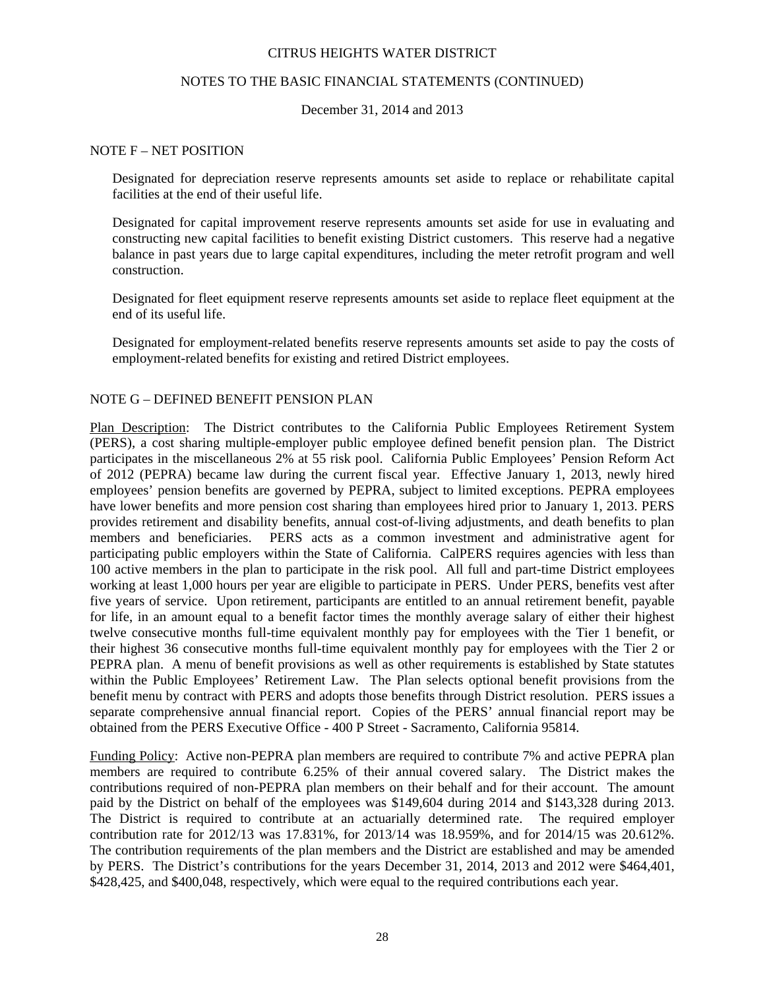## NOTES TO THE BASIC FINANCIAL STATEMENTS (CONTINUED)

December 31, 2014 and 2013

#### NOTE F – NET POSITION

Designated for depreciation reserve represents amounts set aside to replace or rehabilitate capital facilities at the end of their useful life.

Designated for capital improvement reserve represents amounts set aside for use in evaluating and constructing new capital facilities to benefit existing District customers. This reserve had a negative balance in past years due to large capital expenditures, including the meter retrofit program and well construction.

Designated for fleet equipment reserve represents amounts set aside to replace fleet equipment at the end of its useful life.

Designated for employment-related benefits reserve represents amounts set aside to pay the costs of employment-related benefits for existing and retired District employees.

#### NOTE G – DEFINED BENEFIT PENSION PLAN

Plan Description: The District contributes to the California Public Employees Retirement System (PERS), a cost sharing multiple-employer public employee defined benefit pension plan. The District participates in the miscellaneous 2% at 55 risk pool. California Public Employees' Pension Reform Act of 2012 (PEPRA) became law during the current fiscal year. Effective January 1, 2013, newly hired employees' pension benefits are governed by PEPRA, subject to limited exceptions. PEPRA employees have lower benefits and more pension cost sharing than employees hired prior to January 1, 2013. PERS provides retirement and disability benefits, annual cost-of-living adjustments, and death benefits to plan members and beneficiaries. PERS acts as a common investment and administrative agent for participating public employers within the State of California. CalPERS requires agencies with less than 100 active members in the plan to participate in the risk pool. All full and part-time District employees working at least 1,000 hours per year are eligible to participate in PERS. Under PERS, benefits vest after five years of service. Upon retirement, participants are entitled to an annual retirement benefit, payable for life, in an amount equal to a benefit factor times the monthly average salary of either their highest twelve consecutive months full-time equivalent monthly pay for employees with the Tier 1 benefit, or their highest 36 consecutive months full-time equivalent monthly pay for employees with the Tier 2 or PEPRA plan. A menu of benefit provisions as well as other requirements is established by State statutes within the Public Employees' Retirement Law. The Plan selects optional benefit provisions from the benefit menu by contract with PERS and adopts those benefits through District resolution. PERS issues a separate comprehensive annual financial report. Copies of the PERS' annual financial report may be obtained from the PERS Executive Office - 400 P Street - Sacramento, California 95814.

Funding Policy: Active non-PEPRA plan members are required to contribute 7% and active PEPRA plan members are required to contribute 6.25% of their annual covered salary. The District makes the contributions required of non-PEPRA plan members on their behalf and for their account. The amount paid by the District on behalf of the employees was \$149,604 during 2014 and \$143,328 during 2013. The District is required to contribute at an actuarially determined rate. The required employer contribution rate for 2012/13 was 17.831%, for 2013/14 was 18.959%, and for 2014/15 was 20.612%. The contribution requirements of the plan members and the District are established and may be amended by PERS. The District's contributions for the years December 31, 2014, 2013 and 2012 were \$464,401, \$428,425, and \$400,048, respectively, which were equal to the required contributions each year.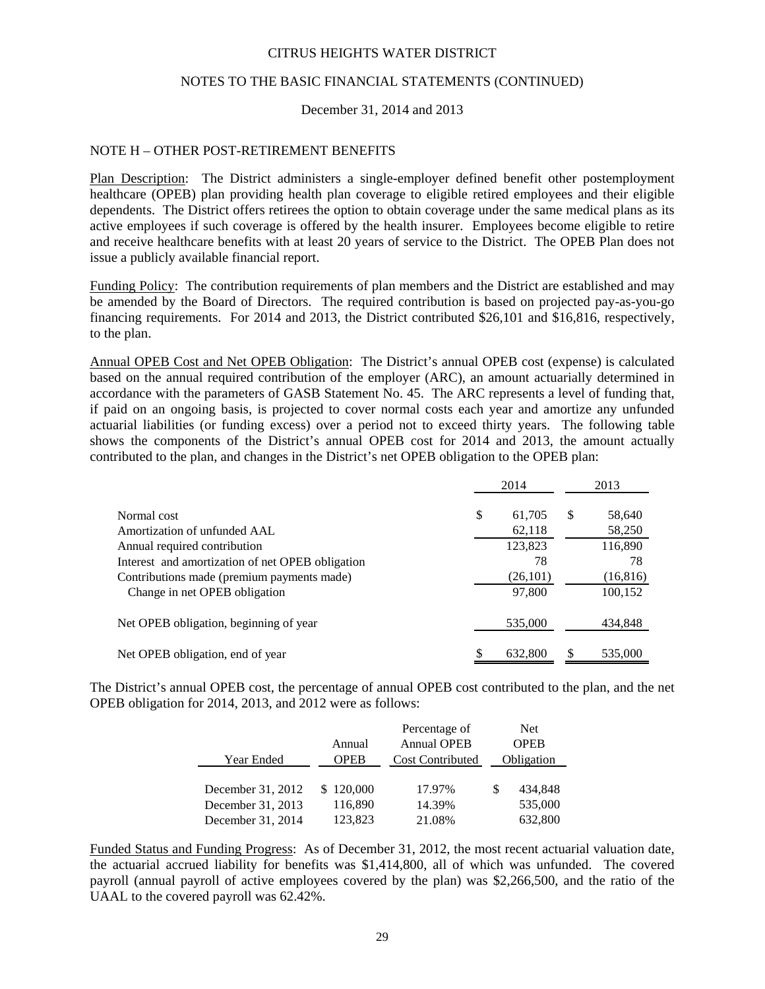## NOTES TO THE BASIC FINANCIAL STATEMENTS (CONTINUED)

#### December 31, 2014 and 2013

#### NOTE H – OTHER POST-RETIREMENT BENEFITS

Plan Description: The District administers a single-employer defined benefit other postemployment healthcare (OPEB) plan providing health plan coverage to eligible retired employees and their eligible dependents. The District offers retirees the option to obtain coverage under the same medical plans as its active employees if such coverage is offered by the health insurer. Employees become eligible to retire and receive healthcare benefits with at least 20 years of service to the District. The OPEB Plan does not issue a publicly available financial report.

Funding Policy: The contribution requirements of plan members and the District are established and may be amended by the Board of Directors. The required contribution is based on projected pay-as-you-go financing requirements. For 2014 and 2013, the District contributed \$26,101 and \$16,816, respectively, to the plan.

Annual OPEB Cost and Net OPEB Obligation: The District's annual OPEB cost (expense) is calculated based on the annual required contribution of the employer (ARC), an amount actuarially determined in accordance with the parameters of GASB Statement No. 45.The ARC represents a level of funding that, if paid on an ongoing basis, is projected to cover normal costs each year and amortize any unfunded actuarial liabilities (or funding excess) over a period not to exceed thirty years. The following table shows the components of the District's annual OPEB cost for 2014 and 2013, the amount actually contributed to the plan, and changes in the District's net OPEB obligation to the OPEB plan:

|                                                  |    | 2014      |   | 2013      |
|--------------------------------------------------|----|-----------|---|-----------|
| Normal cost                                      | \$ | 61,705    | S | 58,640    |
| Amortization of unfunded AAL                     |    | 62,118    |   | 58,250    |
| Annual required contribution                     |    | 123,823   |   | 116,890   |
| Interest and amortization of net OPEB obligation |    | 78        |   | 78        |
| Contributions made (premium payments made)       |    | (26, 101) |   | (16, 816) |
| Change in net OPEB obligation                    |    | 97,800    |   | 100,152   |
| Net OPEB obligation, beginning of year           |    | 535,000   |   | 434,848   |
| Net OPEB obligation, end of year                 | S  | 632,800   |   | 535,000   |

The District's annual OPEB cost, the percentage of annual OPEB cost contributed to the plan, and the net OPEB obligation for 2014, 2013, and 2012 were as follows:

|                   |             | Percentage of           |      | Net        |
|-------------------|-------------|-------------------------|------|------------|
|                   | Annual      | <b>Annual OPEB</b>      | OPEB |            |
| Year Ended        | <b>OPEB</b> | <b>Cost Contributed</b> |      | Obligation |
|                   |             |                         |      |            |
| December 31, 2012 | \$120,000   | 17.97%                  | S    | 434.848    |
| December 31, 2013 | 116,890     | 14.39%                  |      | 535,000    |
| December 31, 2014 | 123,823     | 21.08%                  |      | 632,800    |

Funded Status and Funding Progress: As of December 31, 2012, the most recent actuarial valuation date, the actuarial accrued liability for benefits was \$1,414,800, all of which was unfunded. The covered payroll (annual payroll of active employees covered by the plan) was \$2,266,500, and the ratio of the UAAL to the covered payroll was 62.42%.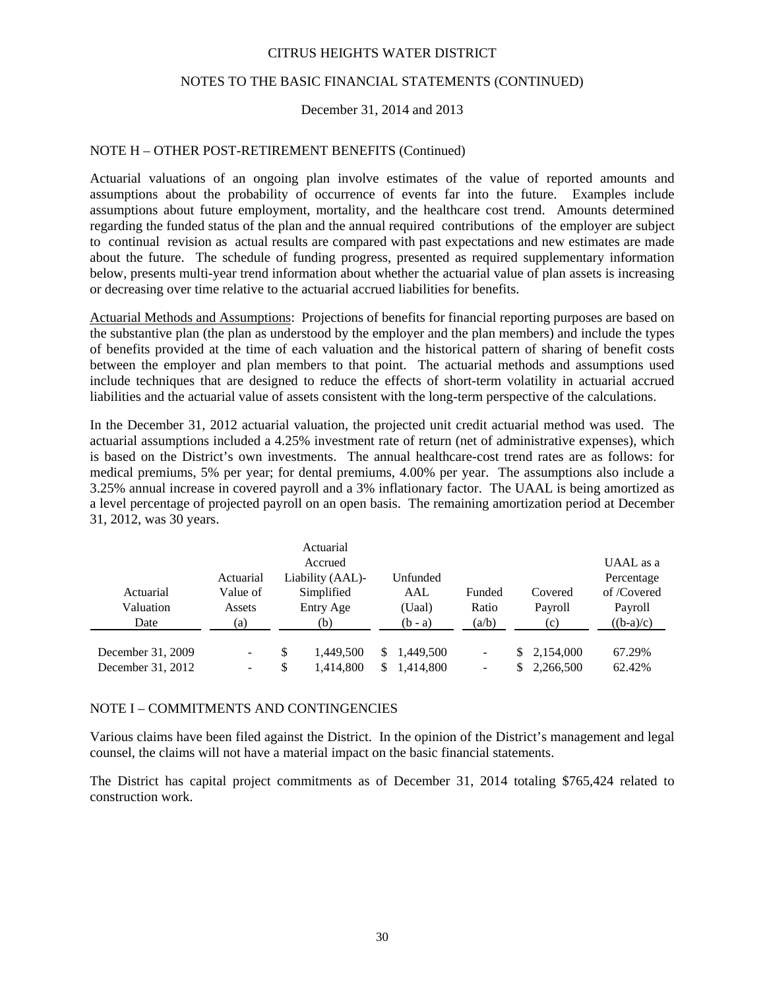# NOTES TO THE BASIC FINANCIAL STATEMENTS (CONTINUED)

## December 31, 2014 and 2013

## NOTE H – OTHER POST-RETIREMENT BENEFITS (Continued)

Actuarial valuations of an ongoing plan involve estimates of the value of reported amounts and assumptions about the probability of occurrence of events far into the future. Examples include assumptions about future employment, mortality, and the healthcare cost trend. Amounts determined regarding the funded status of the plan and the annual required contributions of the employer are subject to continual revision as actual results are compared with past expectations and new estimates are made about the future. The schedule of funding progress, presented as required supplementary information below, presents multi-year trend information about whether the actuarial value of plan assets is increasing or decreasing over time relative to the actuarial accrued liabilities for benefits.

Actuarial Methods and Assumptions: Projections of benefits for financial reporting purposes are based on the substantive plan (the plan as understood by the employer and the plan members) and include the types of benefits provided at the time of each valuation and the historical pattern of sharing of benefit costs between the employer and plan members to that point. The actuarial methods and assumptions used include techniques that are designed to reduce the effects of short-term volatility in actuarial accrued liabilities and the actuarial value of assets consistent with the long-term perspective of the calculations.

In the December 31, 2012 actuarial valuation, the projected unit credit actuarial method was used. The actuarial assumptions included a 4.25% investment rate of return (net of administrative expenses), which is based on the District's own investments. The annual healthcare-cost trend rates are as follows: for medical premiums, 5% per year; for dental premiums, 4.00% per year. The assumptions also include a 3.25% annual increase in covered payroll and a 3% inflationary factor. The UAAL is being amortized as a level percentage of projected payroll on an open basis. The remaining amortization period at December 31, 2012, was 30 years.

|                   |           |           |                  |    |           | UAAL as a                |  |             |             |  |
|-------------------|-----------|-----------|------------------|----|-----------|--------------------------|--|-------------|-------------|--|
|                   | Actuarial |           | Liability (AAL)- |    | Unfunded  |                          |  |             | Percentage  |  |
| Actuarial         | Value of  |           | Simplified       |    | AAL       | Funded                   |  | Covered     | of /Covered |  |
| Valuation         | Assets    | Entry Age |                  |    | (Uaal)    | Ratio                    |  | Payroll     | Payroll     |  |
| Date              | (a)       |           | (b)              |    | (b - a)   | (a/b)                    |  | (c)         | $((b-a)/c)$ |  |
| December 31, 2009 | -         | \$        | 1.449.500        | S. | 1,449,500 | $\overline{\phantom{a}}$ |  | \$2,154,000 | 67.29%      |  |
| December 31, 2012 | ۰.        | \$        | 1,414,800        | S  | 1,414,800 | $\overline{\phantom{a}}$ |  | \$2,266,500 | 62.42%      |  |

#### NOTE I – COMMITMENTS AND CONTINGENCIES

Various claims have been filed against the District. In the opinion of the District's management and legal counsel, the claims will not have a material impact on the basic financial statements.

The District has capital project commitments as of December 31, 2014 totaling \$765,424 related to construction work.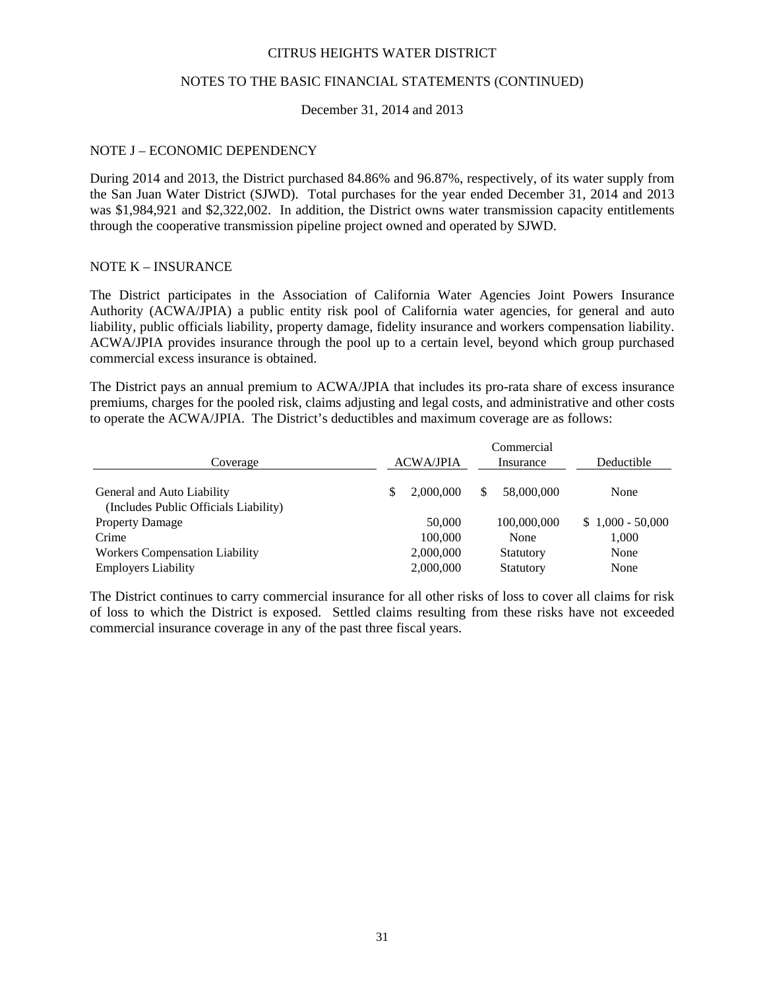## NOTES TO THE BASIC FINANCIAL STATEMENTS (CONTINUED)

#### December 31, 2014 and 2013

#### NOTE J – ECONOMIC DEPENDENCY

During 2014 and 2013, the District purchased 84.86% and 96.87%, respectively, of its water supply from the San Juan Water District (SJWD). Total purchases for the year ended December 31, 2014 and 2013 was \$1,984,921 and \$2,322,002. In addition, the District owns water transmission capacity entitlements through the cooperative transmission pipeline project owned and operated by SJWD.

#### NOTE K – INSURANCE

The District participates in the Association of California Water Agencies Joint Powers Insurance Authority (ACWA/JPIA) a public entity risk pool of California water agencies, for general and auto liability, public officials liability, property damage, fidelity insurance and workers compensation liability. ACWA/JPIA provides insurance through the pool up to a certain level, beyond which group purchased commercial excess insurance is obtained.

The District pays an annual premium to ACWA/JPIA that includes its pro-rata share of excess insurance premiums, charges for the pooled risk, claims adjusting and legal costs, and administrative and other costs to operate the ACWA/JPIA. The District's deductibles and maximum coverage are as follows:

|                                                                     | Commercial       |                 |                   |  |  |  |  |  |  |
|---------------------------------------------------------------------|------------------|-----------------|-------------------|--|--|--|--|--|--|
| Coverage                                                            | <b>ACWA/JPIA</b> | Insurance       | Deductible        |  |  |  |  |  |  |
| General and Auto Liability<br>(Includes Public Officials Liability) | 2,000,000        | 58,000,000<br>S | None              |  |  |  |  |  |  |
| <b>Property Damage</b>                                              | 50,000           | 100,000,000     | $$1,000 - 50,000$ |  |  |  |  |  |  |
| Crime                                                               | 100,000          | None            | 1,000             |  |  |  |  |  |  |
| <b>Workers Compensation Liability</b>                               | 2,000,000        | Statutory       | None              |  |  |  |  |  |  |
| <b>Employers Liability</b>                                          | 2,000,000        | Statutory       | None              |  |  |  |  |  |  |

The District continues to carry commercial insurance for all other risks of loss to cover all claims for risk of loss to which the District is exposed. Settled claims resulting from these risks have not exceeded commercial insurance coverage in any of the past three fiscal years.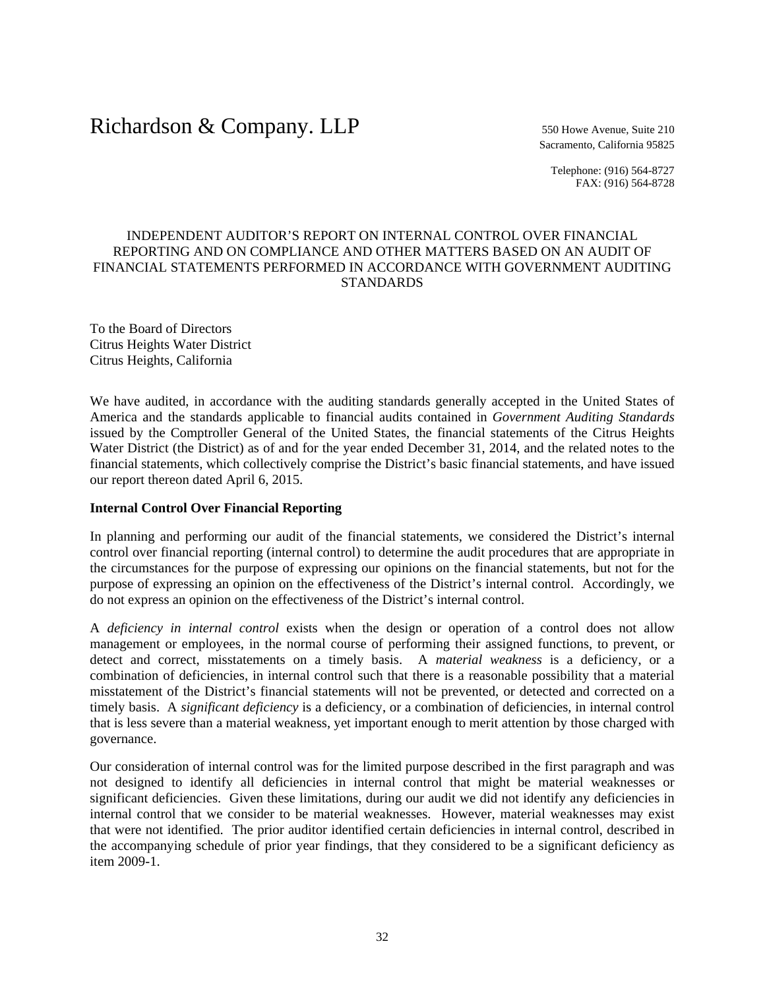# Richardson & Company. LLP 550 Howe Avenue, Suite 210

Sacramento, California 95825

Telephone: (916) 564-8727 FAX: (916) 564-8728

# INDEPENDENT AUDITOR'S REPORT ON INTERNAL CONTROL OVER FINANCIAL REPORTING AND ON COMPLIANCE AND OTHER MATTERS BASED ON AN AUDIT OF FINANCIAL STATEMENTS PERFORMED IN ACCORDANCE WITH GOVERNMENT AUDITING **STANDARDS**

To the Board of Directors Citrus Heights Water District Citrus Heights, California

We have audited, in accordance with the auditing standards generally accepted in the United States of America and the standards applicable to financial audits contained in *Government Auditing Standards* issued by the Comptroller General of the United States, the financial statements of the Citrus Heights Water District (the District) as of and for the year ended December 31, 2014, and the related notes to the financial statements, which collectively comprise the District's basic financial statements, and have issued our report thereon dated April 6, 2015.

## **Internal Control Over Financial Reporting**

In planning and performing our audit of the financial statements, we considered the District's internal control over financial reporting (internal control) to determine the audit procedures that are appropriate in the circumstances for the purpose of expressing our opinions on the financial statements, but not for the purpose of expressing an opinion on the effectiveness of the District's internal control. Accordingly, we do not express an opinion on the effectiveness of the District's internal control.

A *deficiency in internal control* exists when the design or operation of a control does not allow management or employees, in the normal course of performing their assigned functions, to prevent, or detect and correct, misstatements on a timely basis. A *material weakness* is a deficiency, or a combination of deficiencies, in internal control such that there is a reasonable possibility that a material misstatement of the District's financial statements will not be prevented, or detected and corrected on a timely basis. A *significant deficiency* is a deficiency, or a combination of deficiencies, in internal control that is less severe than a material weakness, yet important enough to merit attention by those charged with governance.

Our consideration of internal control was for the limited purpose described in the first paragraph and was not designed to identify all deficiencies in internal control that might be material weaknesses or significant deficiencies. Given these limitations, during our audit we did not identify any deficiencies in internal control that we consider to be material weaknesses. However, material weaknesses may exist that were not identified. The prior auditor identified certain deficiencies in internal control, described in the accompanying schedule of prior year findings, that they considered to be a significant deficiency as item 2009-1.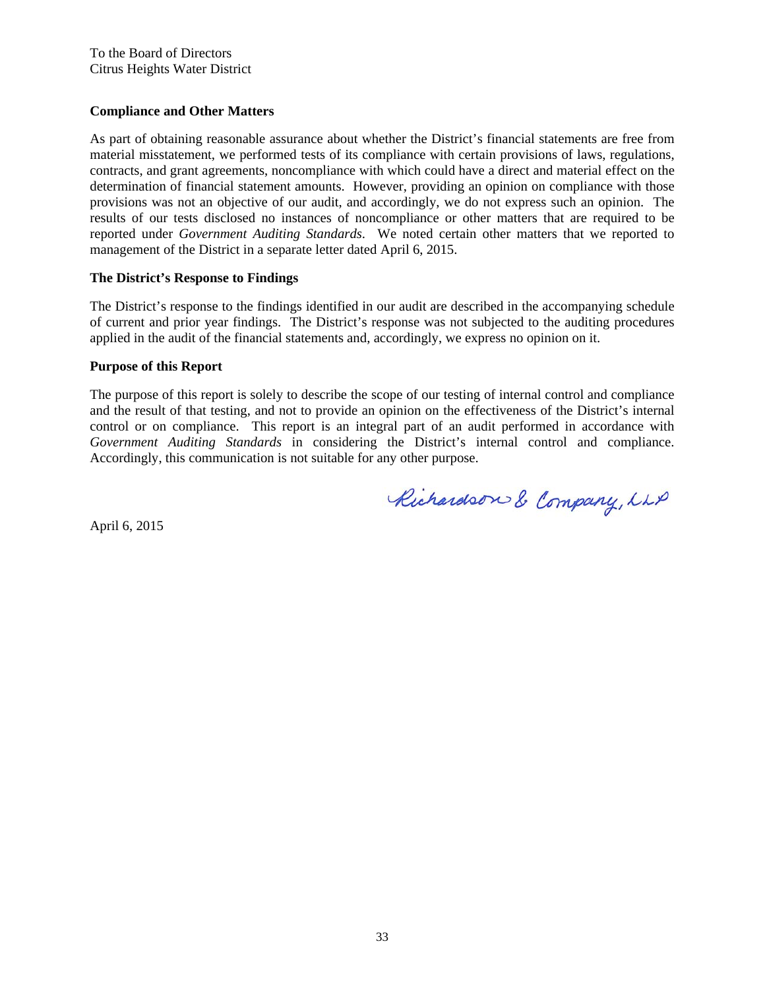# **Compliance and Other Matters**

As part of obtaining reasonable assurance about whether the District's financial statements are free from material misstatement, we performed tests of its compliance with certain provisions of laws, regulations, contracts, and grant agreements, noncompliance with which could have a direct and material effect on the determination of financial statement amounts. However, providing an opinion on compliance with those provisions was not an objective of our audit, and accordingly, we do not express such an opinion. The results of our tests disclosed no instances of noncompliance or other matters that are required to be reported under *Government Auditing Standards*. We noted certain other matters that we reported to management of the District in a separate letter dated April 6, 2015.

## **The District's Response to Findings**

The District's response to the findings identified in our audit are described in the accompanying schedule of current and prior year findings. The District's response was not subjected to the auditing procedures applied in the audit of the financial statements and, accordingly, we express no opinion on it.

## **Purpose of this Report**

The purpose of this report is solely to describe the scope of our testing of internal control and compliance and the result of that testing, and not to provide an opinion on the effectiveness of the District's internal control or on compliance. This report is an integral part of an audit performed in accordance with *Government Auditing Standards* in considering the District's internal control and compliance. Accordingly, this communication is not suitable for any other purpose.

Richardson & Company, LLP

April 6, 2015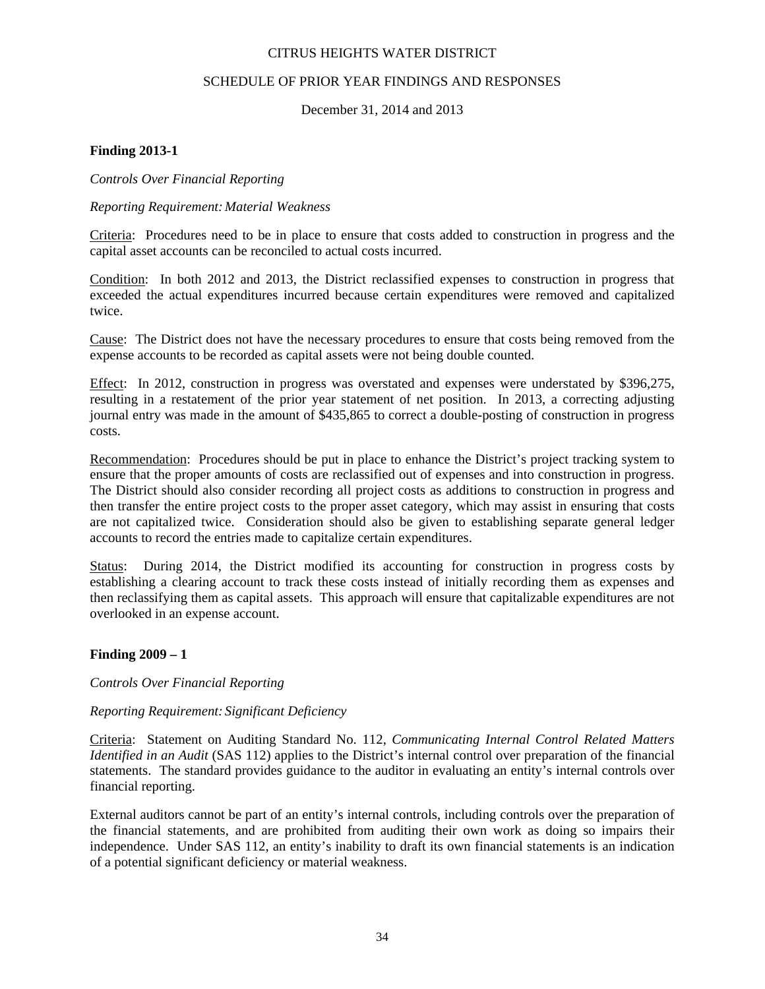## SCHEDULE OF PRIOR YEAR FINDINGS AND RESPONSES

December 31, 2014 and 2013

## **Finding 2013-1**

## *Controls Over Financial Reporting*

## *Reporting Requirement: Material Weakness*

Criteria: Procedures need to be in place to ensure that costs added to construction in progress and the capital asset accounts can be reconciled to actual costs incurred.

Condition: In both 2012 and 2013, the District reclassified expenses to construction in progress that exceeded the actual expenditures incurred because certain expenditures were removed and capitalized twice.

Cause: The District does not have the necessary procedures to ensure that costs being removed from the expense accounts to be recorded as capital assets were not being double counted.

Effect: In 2012, construction in progress was overstated and expenses were understated by \$396,275, resulting in a restatement of the prior year statement of net position. In 2013, a correcting adjusting journal entry was made in the amount of \$435,865 to correct a double-posting of construction in progress costs.

Recommendation: Procedures should be put in place to enhance the District's project tracking system to ensure that the proper amounts of costs are reclassified out of expenses and into construction in progress. The District should also consider recording all project costs as additions to construction in progress and then transfer the entire project costs to the proper asset category, which may assist in ensuring that costs are not capitalized twice. Consideration should also be given to establishing separate general ledger accounts to record the entries made to capitalize certain expenditures.

Status: During 2014, the District modified its accounting for construction in progress costs by establishing a clearing account to track these costs instead of initially recording them as expenses and then reclassifying them as capital assets. This approach will ensure that capitalizable expenditures are not overlooked in an expense account.

## **Finding 2009 – 1**

#### *Controls Over Financial Reporting*

## *Reporting Requirement: Significant Deficiency*

Criteria: Statement on Auditing Standard No. 112, *Communicating Internal Control Related Matters Identified in an Audit* (SAS 112) applies to the District's internal control over preparation of the financial statements. The standard provides guidance to the auditor in evaluating an entity's internal controls over financial reporting.

External auditors cannot be part of an entity's internal controls, including controls over the preparation of the financial statements, and are prohibited from auditing their own work as doing so impairs their independence. Under SAS 112, an entity's inability to draft its own financial statements is an indication of a potential significant deficiency or material weakness.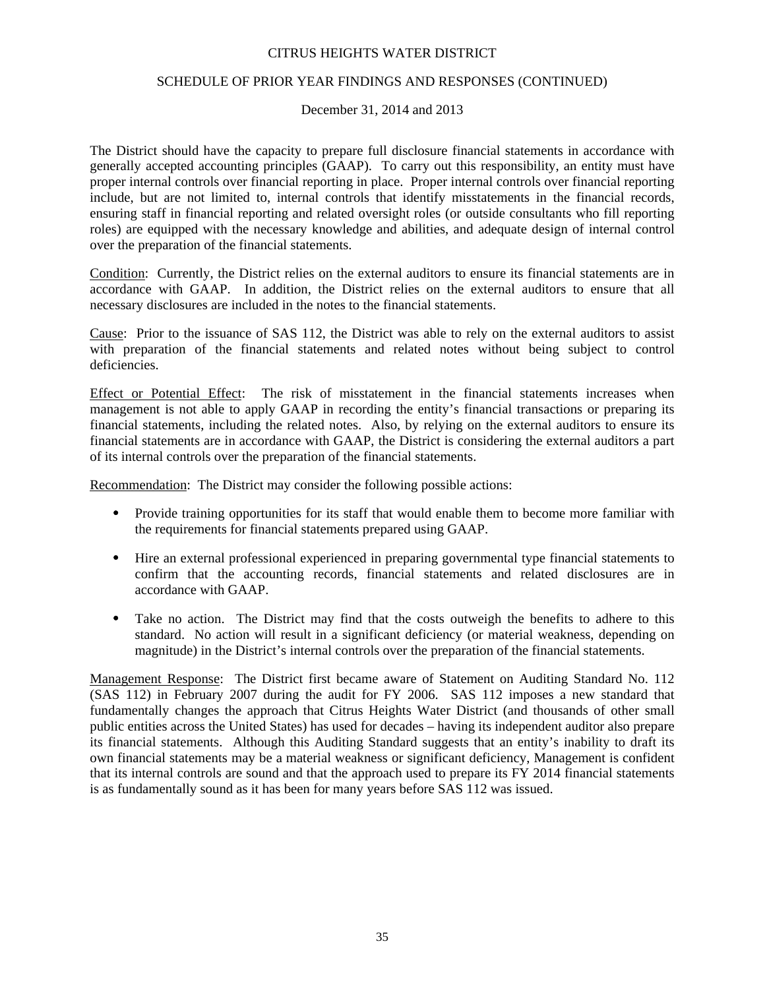## SCHEDULE OF PRIOR YEAR FINDINGS AND RESPONSES (CONTINUED)

December 31, 2014 and 2013

The District should have the capacity to prepare full disclosure financial statements in accordance with generally accepted accounting principles (GAAP). To carry out this responsibility, an entity must have proper internal controls over financial reporting in place. Proper internal controls over financial reporting include, but are not limited to, internal controls that identify misstatements in the financial records, ensuring staff in financial reporting and related oversight roles (or outside consultants who fill reporting roles) are equipped with the necessary knowledge and abilities, and adequate design of internal control over the preparation of the financial statements.

Condition: Currently, the District relies on the external auditors to ensure its financial statements are in accordance with GAAP. In addition, the District relies on the external auditors to ensure that all necessary disclosures are included in the notes to the financial statements.

Cause: Prior to the issuance of SAS 112, the District was able to rely on the external auditors to assist with preparation of the financial statements and related notes without being subject to control deficiencies.

Effect or Potential Effect: The risk of misstatement in the financial statements increases when management is not able to apply GAAP in recording the entity's financial transactions or preparing its financial statements, including the related notes. Also, by relying on the external auditors to ensure its financial statements are in accordance with GAAP, the District is considering the external auditors a part of its internal controls over the preparation of the financial statements.

Recommendation: The District may consider the following possible actions:

- Provide training opportunities for its staff that would enable them to become more familiar with the requirements for financial statements prepared using GAAP.
- Hire an external professional experienced in preparing governmental type financial statements to confirm that the accounting records, financial statements and related disclosures are in accordance with GAAP.
- Take no action. The District may find that the costs outweigh the benefits to adhere to this standard. No action will result in a significant deficiency (or material weakness, depending on magnitude) in the District's internal controls over the preparation of the financial statements.

Management Response: The District first became aware of Statement on Auditing Standard No. 112 (SAS 112) in February 2007 during the audit for FY 2006. SAS 112 imposes a new standard that fundamentally changes the approach that Citrus Heights Water District (and thousands of other small public entities across the United States) has used for decades – having its independent auditor also prepare its financial statements. Although this Auditing Standard suggests that an entity's inability to draft its own financial statements may be a material weakness or significant deficiency, Management is confident that its internal controls are sound and that the approach used to prepare its FY 2014 financial statements is as fundamentally sound as it has been for many years before SAS 112 was issued.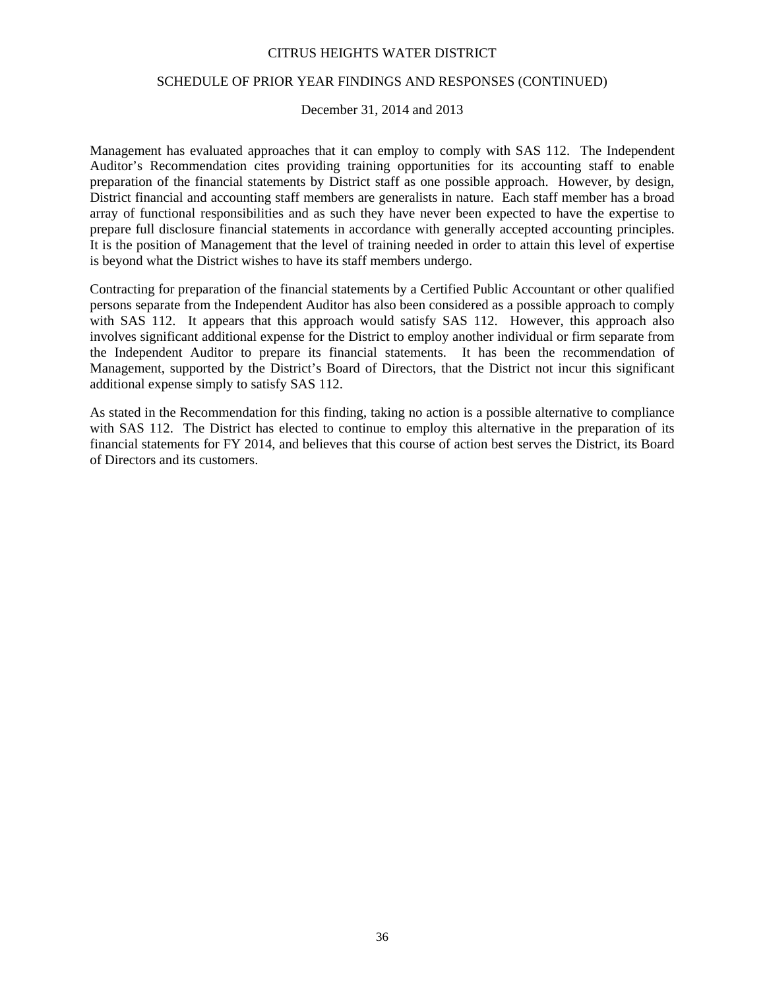## SCHEDULE OF PRIOR YEAR FINDINGS AND RESPONSES (CONTINUED)

#### December 31, 2014 and 2013

Management has evaluated approaches that it can employ to comply with SAS 112. The Independent Auditor's Recommendation cites providing training opportunities for its accounting staff to enable preparation of the financial statements by District staff as one possible approach. However, by design, District financial and accounting staff members are generalists in nature. Each staff member has a broad array of functional responsibilities and as such they have never been expected to have the expertise to prepare full disclosure financial statements in accordance with generally accepted accounting principles. It is the position of Management that the level of training needed in order to attain this level of expertise is beyond what the District wishes to have its staff members undergo.

Contracting for preparation of the financial statements by a Certified Public Accountant or other qualified persons separate from the Independent Auditor has also been considered as a possible approach to comply with SAS 112. It appears that this approach would satisfy SAS 112. However, this approach also involves significant additional expense for the District to employ another individual or firm separate from the Independent Auditor to prepare its financial statements. It has been the recommendation of Management, supported by the District's Board of Directors, that the District not incur this significant additional expense simply to satisfy SAS 112.

As stated in the Recommendation for this finding, taking no action is a possible alternative to compliance with SAS 112. The District has elected to continue to employ this alternative in the preparation of its financial statements for FY 2014, and believes that this course of action best serves the District, its Board of Directors and its customers.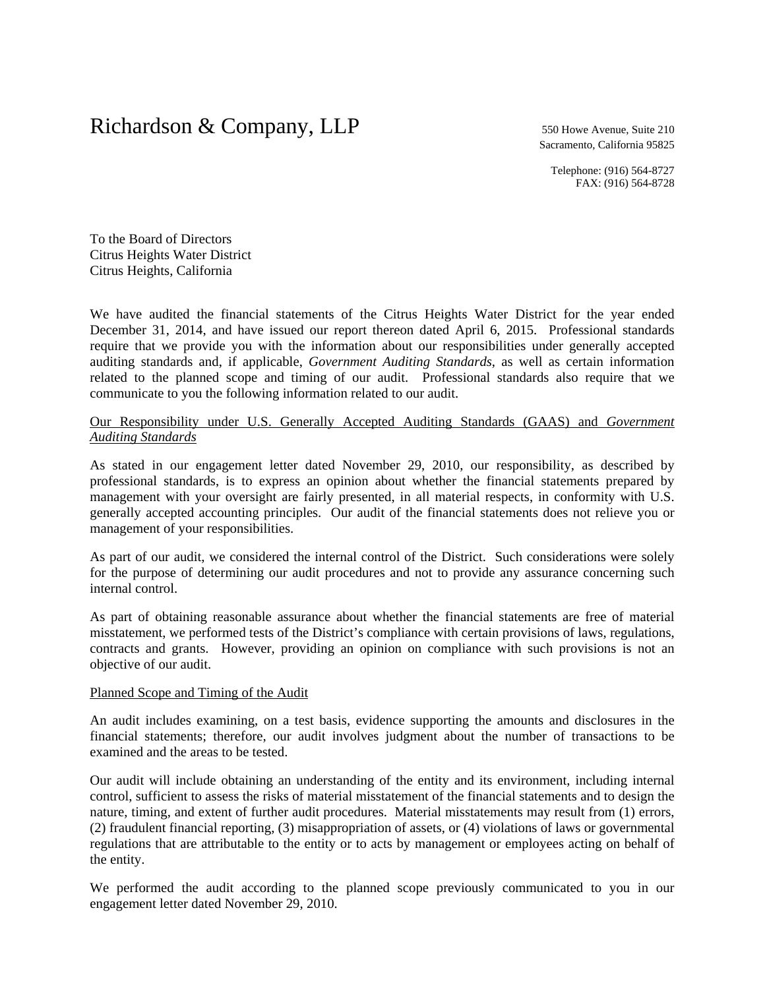# Richardson & Company, LLP 550 Howe Avenue, Suite 210

Sacramento, California 95825

Telephone: (916) 564-8727 FAX: (916) 564-8728

To the Board of Directors Citrus Heights Water District Citrus Heights, California

We have audited the financial statements of the Citrus Heights Water District for the year ended December 31, 2014, and have issued our report thereon dated April 6, 2015. Professional standards require that we provide you with the information about our responsibilities under generally accepted auditing standards and, if applicable, *Government Auditing Standards*, as well as certain information related to the planned scope and timing of our audit. Professional standards also require that we communicate to you the following information related to our audit.

## Our Responsibility under U.S. Generally Accepted Auditing Standards (GAAS) and *Government Auditing Standards*

As stated in our engagement letter dated November 29, 2010, our responsibility, as described by professional standards, is to express an opinion about whether the financial statements prepared by management with your oversight are fairly presented, in all material respects, in conformity with U.S. generally accepted accounting principles. Our audit of the financial statements does not relieve you or management of your responsibilities.

As part of our audit, we considered the internal control of the District. Such considerations were solely for the purpose of determining our audit procedures and not to provide any assurance concerning such internal control.

As part of obtaining reasonable assurance about whether the financial statements are free of material misstatement, we performed tests of the District's compliance with certain provisions of laws, regulations, contracts and grants. However, providing an opinion on compliance with such provisions is not an objective of our audit.

#### Planned Scope and Timing of the Audit

An audit includes examining, on a test basis, evidence supporting the amounts and disclosures in the financial statements; therefore, our audit involves judgment about the number of transactions to be examined and the areas to be tested.

Our audit will include obtaining an understanding of the entity and its environment, including internal control, sufficient to assess the risks of material misstatement of the financial statements and to design the nature, timing, and extent of further audit procedures. Material misstatements may result from (1) errors, (2) fraudulent financial reporting, (3) misappropriation of assets, or (4) violations of laws or governmental regulations that are attributable to the entity or to acts by management or employees acting on behalf of the entity.

We performed the audit according to the planned scope previously communicated to you in our engagement letter dated November 29, 2010.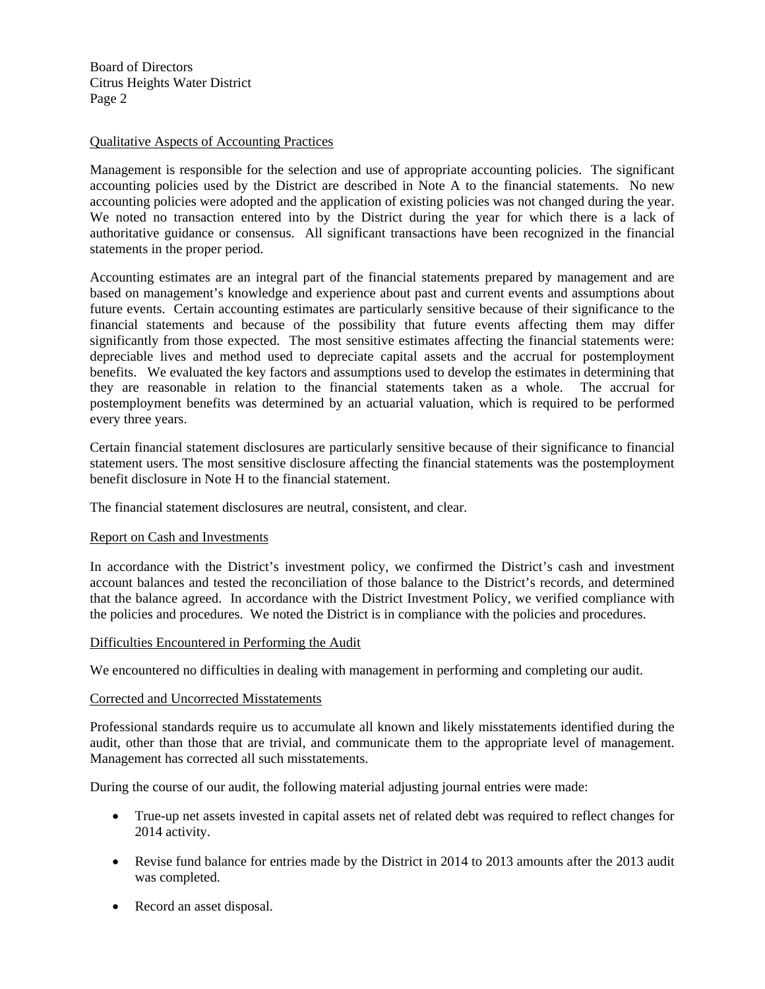Board of Directors Citrus Heights Water District Page 2

## Qualitative Aspects of Accounting Practices

Management is responsible for the selection and use of appropriate accounting policies. The significant accounting policies used by the District are described in Note A to the financial statements. No new accounting policies were adopted and the application of existing policies was not changed during the year. We noted no transaction entered into by the District during the year for which there is a lack of authoritative guidance or consensus. All significant transactions have been recognized in the financial statements in the proper period.

Accounting estimates are an integral part of the financial statements prepared by management and are based on management's knowledge and experience about past and current events and assumptions about future events. Certain accounting estimates are particularly sensitive because of their significance to the financial statements and because of the possibility that future events affecting them may differ significantly from those expected. The most sensitive estimates affecting the financial statements were: depreciable lives and method used to depreciate capital assets and the accrual for postemployment benefits. We evaluated the key factors and assumptions used to develop the estimates in determining that they are reasonable in relation to the financial statements taken as a whole. The accrual for postemployment benefits was determined by an actuarial valuation, which is required to be performed every three years.

Certain financial statement disclosures are particularly sensitive because of their significance to financial statement users. The most sensitive disclosure affecting the financial statements was the postemployment benefit disclosure in Note H to the financial statement.

The financial statement disclosures are neutral, consistent, and clear.

## Report on Cash and Investments

In accordance with the District's investment policy, we confirmed the District's cash and investment account balances and tested the reconciliation of those balance to the District's records, and determined that the balance agreed. In accordance with the District Investment Policy, we verified compliance with the policies and procedures. We noted the District is in compliance with the policies and procedures.

## Difficulties Encountered in Performing the Audit

We encountered no difficulties in dealing with management in performing and completing our audit.

#### Corrected and Uncorrected Misstatements

Professional standards require us to accumulate all known and likely misstatements identified during the audit, other than those that are trivial, and communicate them to the appropriate level of management. Management has corrected all such misstatements.

During the course of our audit, the following material adjusting journal entries were made:

- True-up net assets invested in capital assets net of related debt was required to reflect changes for 2014 activity.
- Revise fund balance for entries made by the District in 2014 to 2013 amounts after the 2013 audit was completed.
- Record an asset disposal.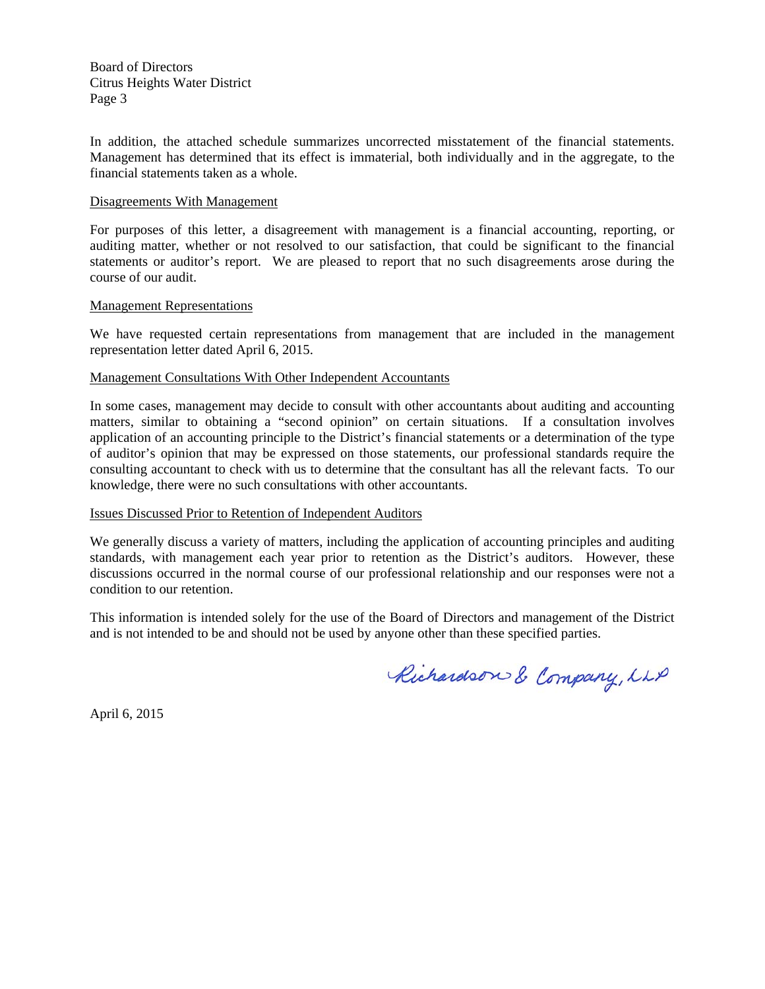Board of Directors Citrus Heights Water District Page 3

In addition, the attached schedule summarizes uncorrected misstatement of the financial statements. Management has determined that its effect is immaterial, both individually and in the aggregate, to the financial statements taken as a whole.

#### Disagreements With Management

For purposes of this letter, a disagreement with management is a financial accounting, reporting, or auditing matter, whether or not resolved to our satisfaction, that could be significant to the financial statements or auditor's report. We are pleased to report that no such disagreements arose during the course of our audit.

#### Management Representations

We have requested certain representations from management that are included in the management representation letter dated April 6, 2015.

#### Management Consultations With Other Independent Accountants

In some cases, management may decide to consult with other accountants about auditing and accounting matters, similar to obtaining a "second opinion" on certain situations. If a consultation involves application of an accounting principle to the District's financial statements or a determination of the type of auditor's opinion that may be expressed on those statements, our professional standards require the consulting accountant to check with us to determine that the consultant has all the relevant facts. To our knowledge, there were no such consultations with other accountants.

## Issues Discussed Prior to Retention of Independent Auditors

We generally discuss a variety of matters, including the application of accounting principles and auditing standards, with management each year prior to retention as the District's auditors. However, these discussions occurred in the normal course of our professional relationship and our responses were not a condition to our retention.

This information is intended solely for the use of the Board of Directors and management of the District and is not intended to be and should not be used by anyone other than these specified parties.

Richardson & Company, LLP

April 6, 2015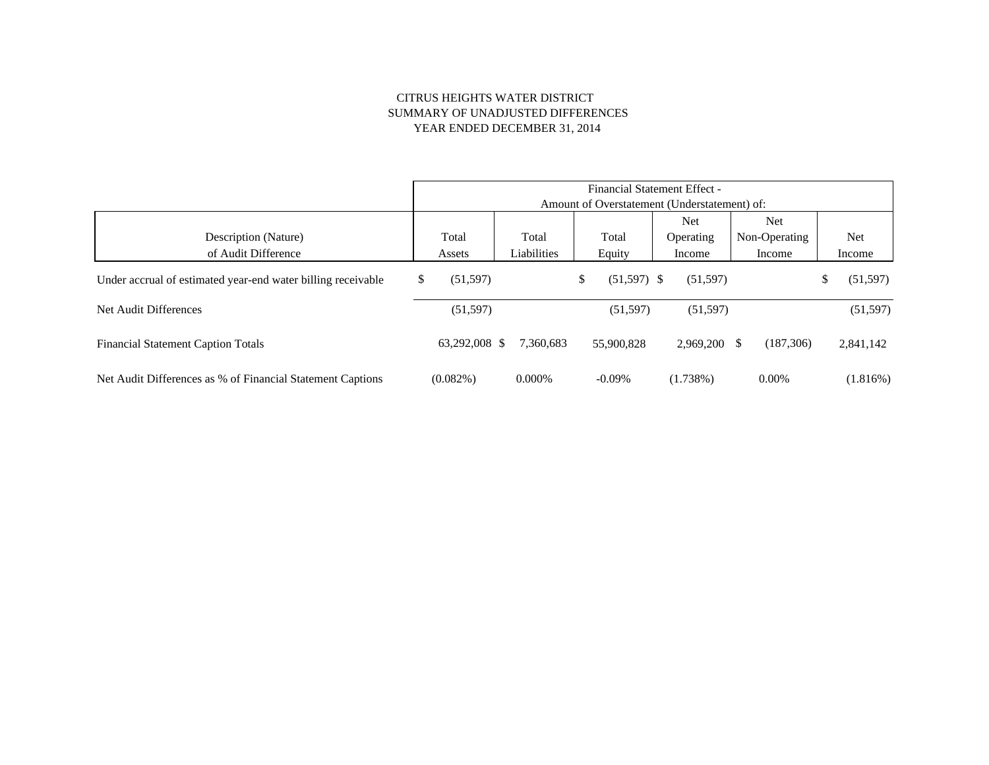#### CITRUS HEIGHTS WATER DISTRICT SUMMARY OF UNADJUSTED DIFFERENCES YEAR ENDED DECEMBER 31, 2014

|                                                              | <b>Financial Statement Effect -</b>          |               |             |    |               |  |             |    |               |    |           |
|--------------------------------------------------------------|----------------------------------------------|---------------|-------------|----|---------------|--|-------------|----|---------------|----|-----------|
|                                                              | Amount of Overstatement (Understatement) of: |               |             |    |               |  |             |    |               |    |           |
|                                                              |                                              |               |             |    |               |  | <b>Net</b>  |    | Net           |    |           |
| Description (Nature)                                         |                                              | Total         | Total       |    | Total         |  | Operating   |    | Non-Operating |    | Net       |
| of Audit Difference                                          |                                              | Assets        | Liabilities |    | Equity        |  | Income      |    | Income        |    | Income    |
| Under accrual of estimated year-end water billing receivable | \$                                           | (51, 597)     |             | \$ | $(51,597)$ \$ |  | (51, 597)   |    |               | \$ | (51, 597) |
| Net Audit Differences                                        |                                              | (51, 597)     |             |    | (51, 597)     |  | (51, 597)   |    |               |    | (51, 597) |
| <b>Financial Statement Caption Totals</b>                    |                                              | 63,292,008 \$ | 7.360.683   |    | 55,900,828    |  | 2.969.200   | \$ | (187,306)     |    | 2,841,142 |
| Net Audit Differences as % of Financial Statement Captions   |                                              | $(0.082\%)$   | 0.000%      |    | $-0.09\%$     |  | $(1.738\%)$ |    | $0.00\%$      |    | (1.816%)  |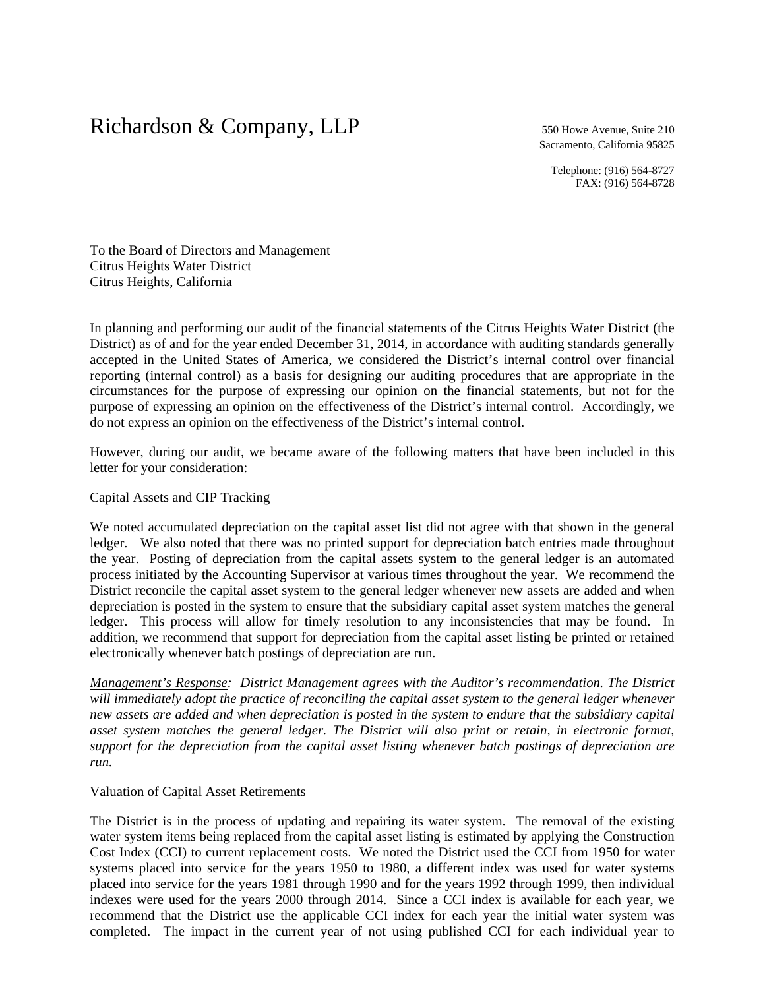# Richardson & Company, LLP 550 Howe Avenue, Suite 210

Sacramento, California 95825

Telephone: (916) 564-8727 FAX: (916) 564-8728

To the Board of Directors and Management Citrus Heights Water District Citrus Heights, California

In planning and performing our audit of the financial statements of the Citrus Heights Water District (the District) as of and for the year ended December 31, 2014, in accordance with auditing standards generally accepted in the United States of America, we considered the District's internal control over financial reporting (internal control) as a basis for designing our auditing procedures that are appropriate in the circumstances for the purpose of expressing our opinion on the financial statements, but not for the purpose of expressing an opinion on the effectiveness of the District's internal control. Accordingly, we do not express an opinion on the effectiveness of the District's internal control.

However, during our audit, we became aware of the following matters that have been included in this letter for your consideration:

#### Capital Assets and CIP Tracking

We noted accumulated depreciation on the capital asset list did not agree with that shown in the general ledger. We also noted that there was no printed support for depreciation batch entries made throughout the year. Posting of depreciation from the capital assets system to the general ledger is an automated process initiated by the Accounting Supervisor at various times throughout the year. We recommend the District reconcile the capital asset system to the general ledger whenever new assets are added and when depreciation is posted in the system to ensure that the subsidiary capital asset system matches the general ledger. This process will allow for timely resolution to any inconsistencies that may be found. In addition, we recommend that support for depreciation from the capital asset listing be printed or retained electronically whenever batch postings of depreciation are run.

*Management's Response: District Management agrees with the Auditor's recommendation. The District will immediately adopt the practice of reconciling the capital asset system to the general ledger whenever new assets are added and when depreciation is posted in the system to endure that the subsidiary capital asset system matches the general ledger. The District will also print or retain, in electronic format, support for the depreciation from the capital asset listing whenever batch postings of depreciation are run.* 

#### Valuation of Capital Asset Retirements

The District is in the process of updating and repairing its water system. The removal of the existing water system items being replaced from the capital asset listing is estimated by applying the Construction Cost Index (CCI) to current replacement costs. We noted the District used the CCI from 1950 for water systems placed into service for the years 1950 to 1980, a different index was used for water systems placed into service for the years 1981 through 1990 and for the years 1992 through 1999, then individual indexes were used for the years 2000 through 2014. Since a CCI index is available for each year, we recommend that the District use the applicable CCI index for each year the initial water system was completed. The impact in the current year of not using published CCI for each individual year to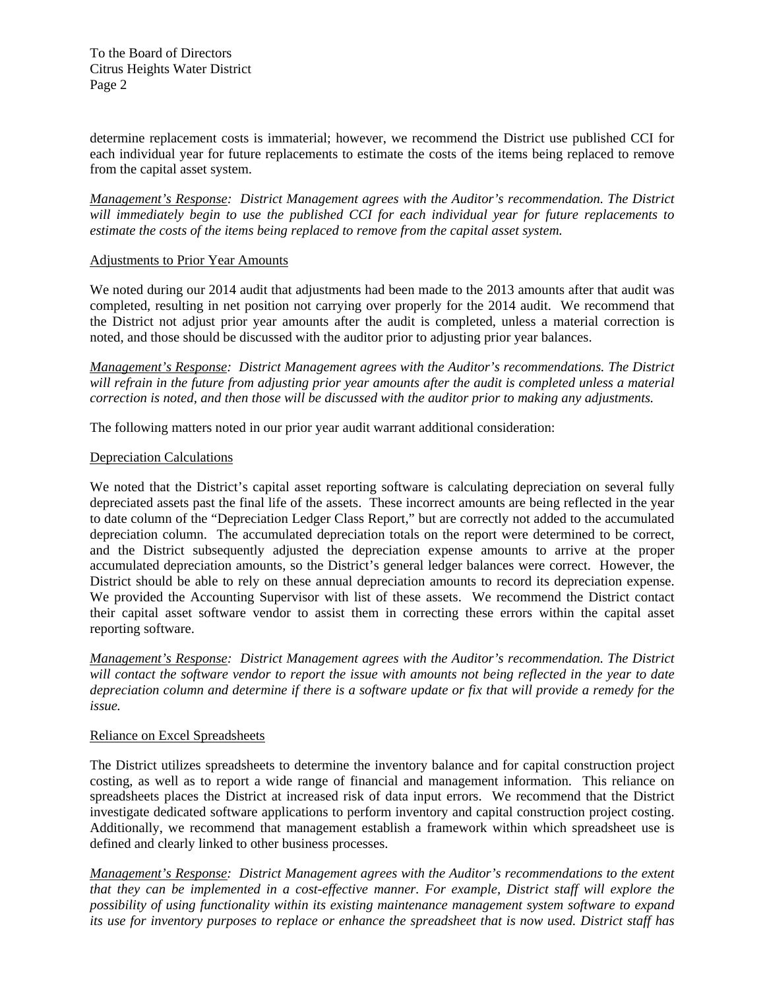To the Board of Directors Citrus Heights Water District Page 2

determine replacement costs is immaterial; however, we recommend the District use published CCI for each individual year for future replacements to estimate the costs of the items being replaced to remove from the capital asset system.

*Management's Response: District Management agrees with the Auditor's recommendation. The District will immediately begin to use the published CCI for each individual year for future replacements to estimate the costs of the items being replaced to remove from the capital asset system.* 

# Adjustments to Prior Year Amounts

We noted during our 2014 audit that adjustments had been made to the 2013 amounts after that audit was completed, resulting in net position not carrying over properly for the 2014 audit. We recommend that the District not adjust prior year amounts after the audit is completed, unless a material correction is noted, and those should be discussed with the auditor prior to adjusting prior year balances.

*Management's Response: District Management agrees with the Auditor's recommendations. The District will refrain in the future from adjusting prior year amounts after the audit is completed unless a material correction is noted, and then those will be discussed with the auditor prior to making any adjustments.* 

The following matters noted in our prior year audit warrant additional consideration:

#### Depreciation Calculations

We noted that the District's capital asset reporting software is calculating depreciation on several fully depreciated assets past the final life of the assets. These incorrect amounts are being reflected in the year to date column of the "Depreciation Ledger Class Report," but are correctly not added to the accumulated depreciation column. The accumulated depreciation totals on the report were determined to be correct, and the District subsequently adjusted the depreciation expense amounts to arrive at the proper accumulated depreciation amounts, so the District's general ledger balances were correct. However, the District should be able to rely on these annual depreciation amounts to record its depreciation expense. We provided the Accounting Supervisor with list of these assets. We recommend the District contact their capital asset software vendor to assist them in correcting these errors within the capital asset reporting software.

*Management's Response: District Management agrees with the Auditor's recommendation. The District will contact the software vendor to report the issue with amounts not being reflected in the year to date depreciation column and determine if there is a software update or fix that will provide a remedy for the issue.* 

## Reliance on Excel Spreadsheets

The District utilizes spreadsheets to determine the inventory balance and for capital construction project costing, as well as to report a wide range of financial and management information. This reliance on spreadsheets places the District at increased risk of data input errors. We recommend that the District investigate dedicated software applications to perform inventory and capital construction project costing. Additionally, we recommend that management establish a framework within which spreadsheet use is defined and clearly linked to other business processes.

*Management's Response: District Management agrees with the Auditor's recommendations to the extent that they can be implemented in a cost-effective manner. For example, District staff will explore the possibility of using functionality within its existing maintenance management system software to expand its use for inventory purposes to replace or enhance the spreadsheet that is now used. District staff has*